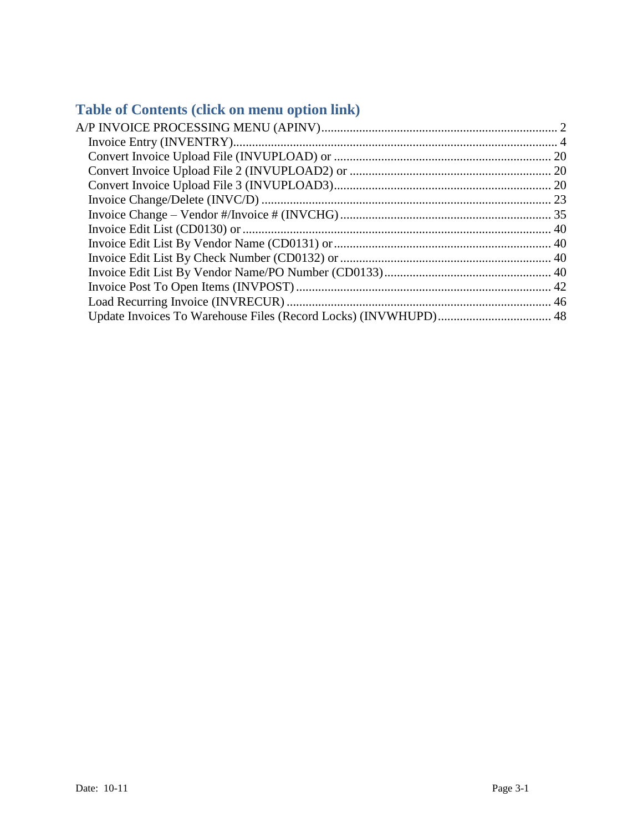# **Table of Contents (click on menu option link)**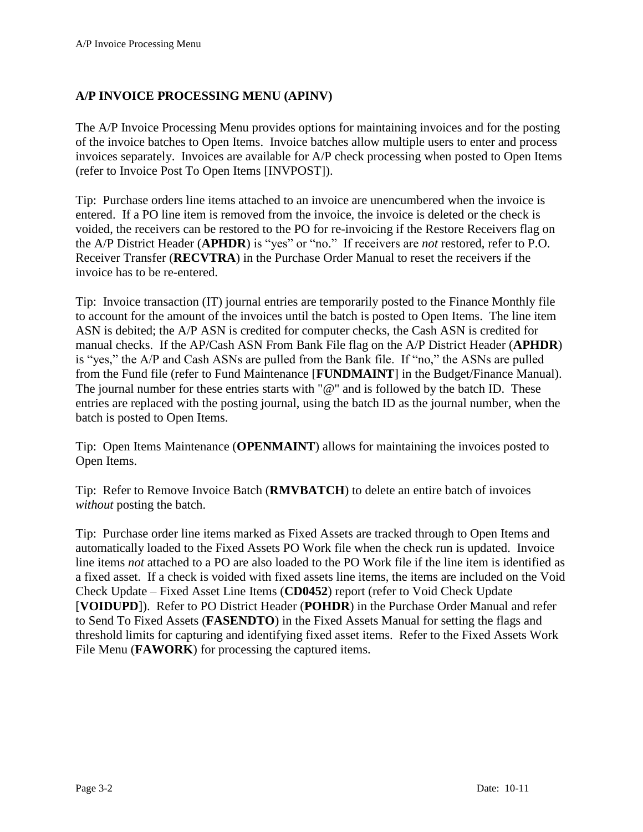## <span id="page-1-0"></span>**A/P INVOICE PROCESSING MENU (APINV)**

The A/P Invoice Processing Menu provides options for maintaining invoices and for the posting of the invoice batches to Open Items. Invoice batches allow multiple users to enter and process invoices separately. Invoices are available for A/P check processing when posted to Open Items (refer to Invoice Post To Open Items [INVPOST]).

Tip: Purchase orders line items attached to an invoice are unencumbered when the invoice is entered. If a PO line item is removed from the invoice, the invoice is deleted or the check is voided, the receivers can be restored to the PO for re-invoicing if the Restore Receivers flag on the A/P District Header (**APHDR**) is "yes" or "no." If receivers are *not* restored, refer to P.O. Receiver Transfer (**RECVTRA**) in the Purchase Order Manual to reset the receivers if the invoice has to be re-entered.

Tip: Invoice transaction (IT) journal entries are temporarily posted to the Finance Monthly file to account for the amount of the invoices until the batch is posted to Open Items. The line item ASN is debited; the A/P ASN is credited for computer checks, the Cash ASN is credited for manual checks. If the AP/Cash ASN From Bank File flag on the A/P District Header (**APHDR**) is "yes," the A/P and Cash ASNs are pulled from the Bank file. If "no," the ASNs are pulled from the Fund file (refer to Fund Maintenance [**FUNDMAINT**] in the Budget/Finance Manual). The journal number for these entries starts with "@" and is followed by the batch ID. These entries are replaced with the posting journal, using the batch ID as the journal number, when the batch is posted to Open Items.

Tip: Open Items Maintenance (**OPENMAINT**) allows for maintaining the invoices posted to Open Items.

Tip: Refer to Remove Invoice Batch (**RMVBATCH**) to delete an entire batch of invoices *without* posting the batch.

Tip: Purchase order line items marked as Fixed Assets are tracked through to Open Items and automatically loaded to the Fixed Assets PO Work file when the check run is updated. Invoice line items *not* attached to a PO are also loaded to the PO Work file if the line item is identified as a fixed asset. If a check is voided with fixed assets line items, the items are included on the Void Check Update – Fixed Asset Line Items (**CD0452**) report (refer to Void Check Update [**VOIDUPD**]). Refer to PO District Header (**POHDR**) in the Purchase Order Manual and refer to Send To Fixed Assets (**FASENDTO**) in the Fixed Assets Manual for setting the flags and threshold limits for capturing and identifying fixed asset items. Refer to the Fixed Assets Work File Menu (**FAWORK**) for processing the captured items.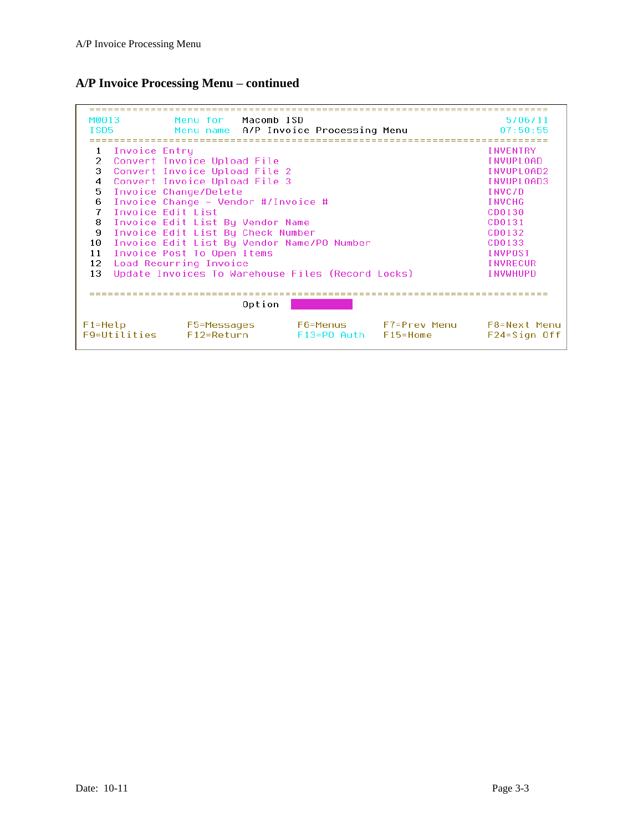## **A/P Invoice Processing Menu – continued**

| M0013                                                                      |                                            | Menu for Macomb ISD                   |        |                                  |              | 5/06/11                          |
|----------------------------------------------------------------------------|--------------------------------------------|---------------------------------------|--------|----------------------------------|--------------|----------------------------------|
| ISD <sub>5</sub>                                                           |                                            | Menu name A/P Invoice Processing Menu |        |                                  |              | 07:50:55                         |
|                                                                            |                                            |                                       |        |                                  |              |                                  |
| 1                                                                          | Invoice Entru                              |                                       |        |                                  |              | <b>INVENTRY</b>                  |
| $\overline{2}$                                                             |                                            | Convert Invoice Upload File           |        |                                  |              | INVUPLOAD                        |
| 3                                                                          |                                            | Convert Invoice Upload File 2         |        |                                  |              | INVUPLOAD2                       |
| 4                                                                          |                                            | Convert Invoice Upload File 3         |        |                                  |              | INVUPLOAD3                       |
| 5                                                                          |                                            | Invoice Change/Delete                 |        |                                  |              | TNVC/D                           |
| 6                                                                          |                                            | Invoice Change - Vendor #/Invoice #   |        |                                  |              | <b>INVCHG</b>                    |
| 7                                                                          | Invoice Edit List<br>CD0130                |                                       |        |                                  |              |                                  |
| 8                                                                          | Invoice Edit List By Vendor Name<br>CD0131 |                                       |        |                                  |              |                                  |
| 9<br>Invoice Edit List By Check Number<br>CD0132                           |                                            |                                       |        |                                  |              |                                  |
| 10<br>Invoice Edit List By Vendor Name/PO Number<br>CD0133                 |                                            |                                       |        |                                  |              |                                  |
| 11<br><b>INVPOST</b><br>Invoice Post To Open Items                         |                                            |                                       |        |                                  |              |                                  |
| Load Recurring Invoice<br>12<br><b>INVRECUR</b>                            |                                            |                                       |        |                                  |              |                                  |
| Update Invoices To Warehouse Files (Record Locks)<br>13<br><b>INVWHUPD</b> |                                            |                                       |        |                                  |              |                                  |
|                                                                            |                                            |                                       |        |                                  |              |                                  |
|                                                                            |                                            |                                       |        |                                  |              |                                  |
|                                                                            |                                            |                                       | Option |                                  |              |                                  |
| $F1 = He1p$                                                                | F9=Utilities                               | F5=Messages<br>$F12 = Return$         |        | F6=Menus<br>F13=P0 Auth F15=Home | F7=Prev Menu | F8=Next Menu<br>$F24 =$ Sign Off |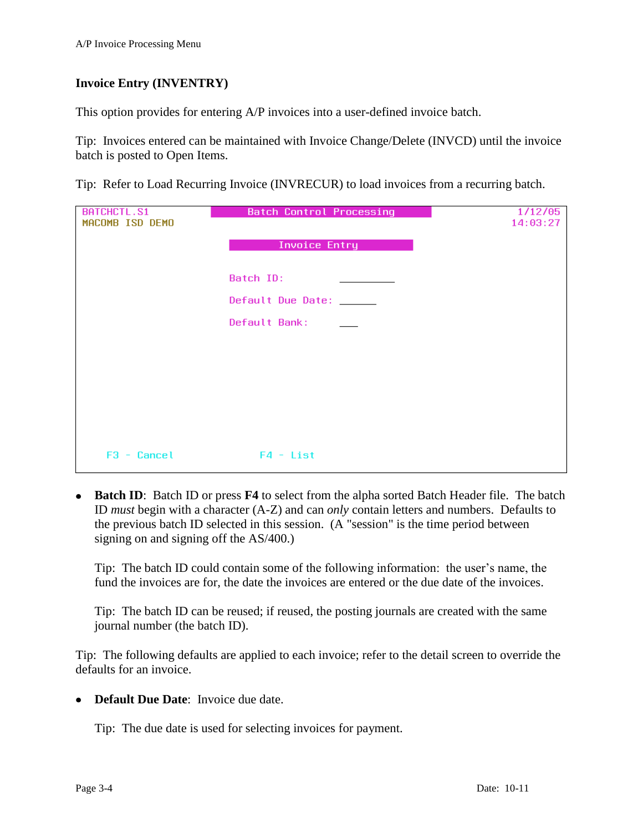## <span id="page-3-0"></span>**Invoice Entry (INVENTRY)**

This option provides for entering A/P invoices into a user-defined invoice batch.

Tip: Invoices entered can be maintained with Invoice Change/Delete (INVCD) until the invoice batch is posted to Open Items.

Tip: Refer to Load Recurring Invoice (INVRECUR) to load invoices from a recurring batch.

| BATCHCTL.S1     | <b>Batch Control Processing</b> | 1/12/05  |
|-----------------|---------------------------------|----------|
| MACOMB ISD DEMO |                                 | 14:03:27 |
|                 | <b>Invoice Entry</b>            |          |
|                 |                                 |          |
|                 | Batch ID:                       |          |
|                 | Default Due Date: _____         |          |
|                 | Default Bank:                   |          |
|                 |                                 |          |
|                 |                                 |          |
|                 |                                 |          |
|                 |                                 |          |
|                 |                                 |          |
|                 |                                 |          |
| $F3 - Cancel$   | $F4 - List$                     |          |

**Batch ID**: Batch ID or press **F4** to select from the alpha sorted Batch Header file. The batch ID *must* begin with a character (A-Z) and can *only* contain letters and numbers. Defaults to the previous batch ID selected in this session. (A "session" is the time period between signing on and signing off the AS/400.)

Tip: The batch ID could contain some of the following information: the user's name, the fund the invoices are for, the date the invoices are entered or the due date of the invoices.

Tip: The batch ID can be reused; if reused, the posting journals are created with the same journal number (the batch ID).

Tip: The following defaults are applied to each invoice; refer to the detail screen to override the defaults for an invoice.

**Default Due Date**: Invoice due date.

Tip: The due date is used for selecting invoices for payment.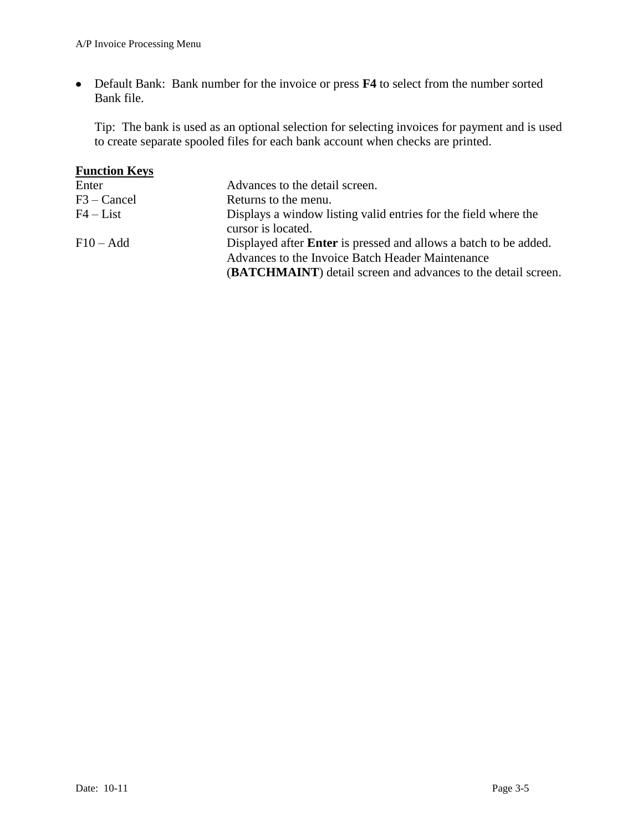Default Bank: Bank number for the invoice or press **F4** to select from the number sorted Bank file.

Tip: The bank is used as an optional selection for selecting invoices for payment and is used to create separate spooled files for each bank account when checks are printed.

| <b>Function Keys</b> |                                                                                                                                                                                                     |
|----------------------|-----------------------------------------------------------------------------------------------------------------------------------------------------------------------------------------------------|
| Enter                | Advances to the detail screen.                                                                                                                                                                      |
| F3 – Cancel          | Returns to the menu.                                                                                                                                                                                |
| $F4 - List$          | Displays a window listing valid entries for the field where the<br>cursor is located.                                                                                                               |
| $F10 - Add$          | Displayed after <b>Enter</b> is pressed and allows a batch to be added.<br>Advances to the Invoice Batch Header Maintenance<br><b>(BATCHMAINT)</b> detail screen and advances to the detail screen. |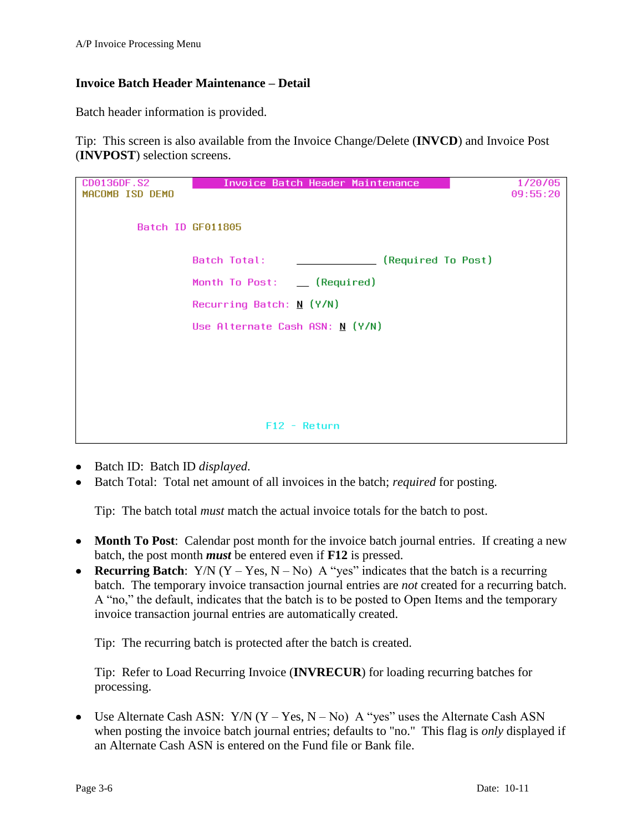## **Invoice Batch Header Maintenance – Detail**

Batch header information is provided.

Tip: This screen is also available from the Invoice Change/Delete (**INVCD**) and Invoice Post (**INVPOST**) selection screens.

| CD0136DF.S2<br>MACOMB ISD DEMO | Invoice Batch Header Maintenance   | 1/20/05<br>09:55:20 |
|--------------------------------|------------------------------------|---------------------|
|                                | Batch ID GF011805                  |                     |
|                                | (Required To Post)<br>Batch Total: |                     |
|                                | Month To Post: __ (Required)       |                     |
|                                | Recurring Batch: $N (Y/N)$         |                     |
|                                | Use Alternate Cash ASN: $N$ (Y/N)  |                     |
|                                |                                    |                     |
|                                |                                    |                     |
|                                |                                    |                     |
|                                |                                    |                     |
|                                | $F12 - Return$                     |                     |

- Batch ID: Batch ID *displayed*.
- Batch Total: Total net amount of all invoices in the batch; *required* for posting.

Tip: The batch total *must* match the actual invoice totals for the batch to post.

- Month To Post: Calendar post month for the invoice batch journal entries. If creating a new batch, the post month *must* be entered even if **F12** is pressed.
- **Recurring Batch**:  $Y/N$  ( $Y Yes$ ,  $N No$ ) A "yes" indicates that the batch is a recurring batch. The temporary invoice transaction journal entries are *not* created for a recurring batch. A "no," the default, indicates that the batch is to be posted to Open Items and the temporary invoice transaction journal entries are automatically created.

Tip: The recurring batch is protected after the batch is created.

Tip: Refer to Load Recurring Invoice (**INVRECUR**) for loading recurring batches for processing.

• Use Alternate Cash ASN:  $Y/N$  (Y – Yes, N – No) A "yes" uses the Alternate Cash ASN when posting the invoice batch journal entries; defaults to "no." This flag is *only* displayed if an Alternate Cash ASN is entered on the Fund file or Bank file.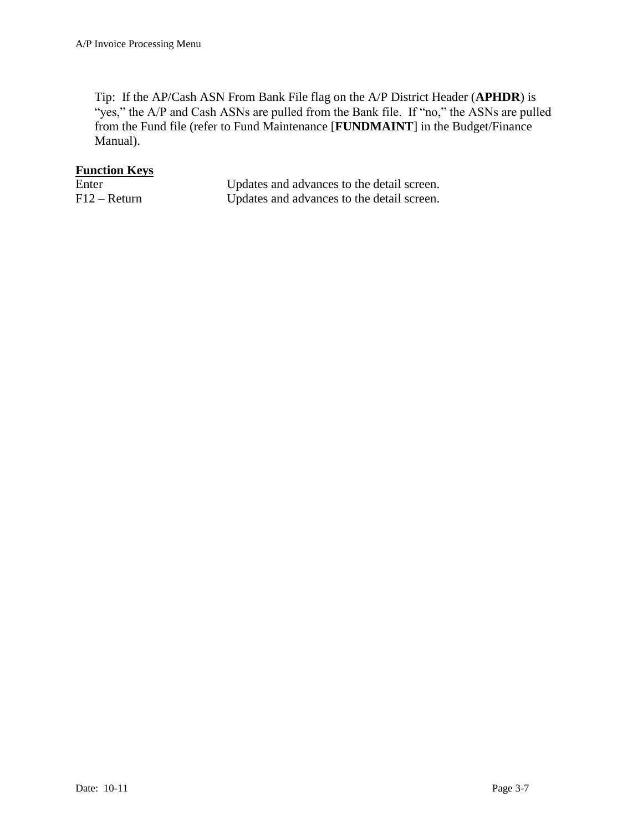Tip: If the AP/Cash ASN From Bank File flag on the A/P District Header (**APHDR**) is "yes," the A/P and Cash ASNs are pulled from the Bank file. If "no," the ASNs are pulled from the Fund file (refer to Fund Maintenance [**FUNDMAINT**] in the Budget/Finance Manual).

| Enter        | Updates and advances to the detail screen. |
|--------------|--------------------------------------------|
| F12 – Return | Updates and advances to the detail screen. |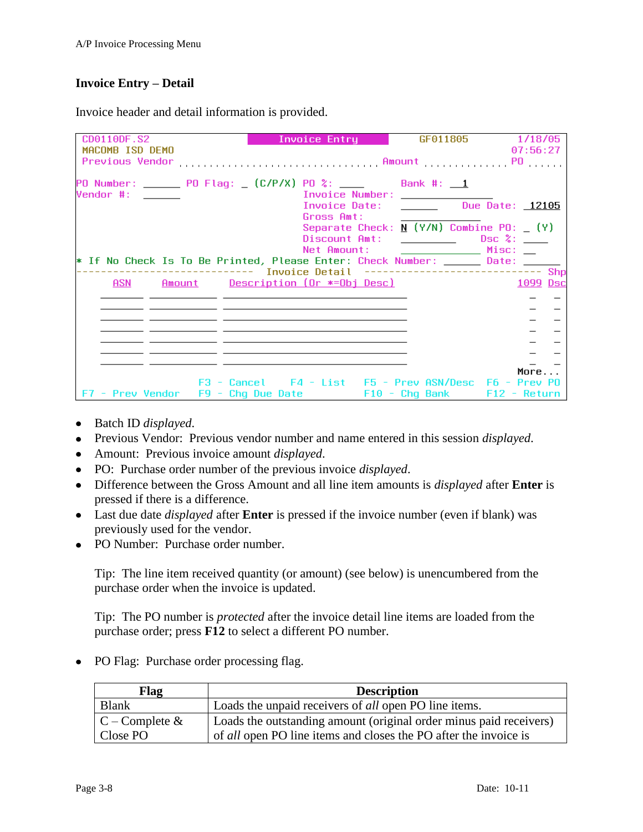## **Invoice Entry – Detail**

Invoice header and detail information is provided.

| CD0110DF.S2<br>MACOMB ISD DEMO                                                    | Invoice Entry                                                             |                                                                                                             | GF011805 1/18/05<br>07:56:27 |
|-----------------------------------------------------------------------------------|---------------------------------------------------------------------------|-------------------------------------------------------------------------------------------------------------|------------------------------|
|                                                                                   |                                                                           |                                                                                                             |                              |
| PO Number: ______ PO Flag: _ (C/P/X) PO %: ____    Bank #: __1<br>Vendor #: _____ | <b>Example 2018</b> Invoice Number: <b>Constitution</b>                   |                                                                                                             |                              |
|                                                                                   | Gross Amt:                                                                | Invoice Date: Due Date: 12105                                                                               |                              |
|                                                                                   |                                                                           | Separate Check: $\underline{N}$ (Y/N) Combine PO: $\underline{N}$ (Y)<br>Discount Amt: _________ Dsc %: ___ |                              |
|                                                                                   | Net Amount:                                                               |                                                                                                             |                              |
| * If No Check Is To Be Printed, Please Enter: Check Number: ______ Date: ______   |                                                                           |                                                                                                             |                              |
|                                                                                   | ----------------    Invoice Detail    ----------------------------    Shp |                                                                                                             |                              |
|                                                                                   | <u> ASN Amount Description (Or *=Obj Desc)</u>                            |                                                                                                             | 1099 Dsc                     |
|                                                                                   |                                                                           |                                                                                                             |                              |
|                                                                                   |                                                                           |                                                                                                             |                              |
|                                                                                   |                                                                           |                                                                                                             |                              |
|                                                                                   |                                                                           |                                                                                                             |                              |
|                                                                                   |                                                                           |                                                                                                             |                              |
|                                                                                   |                                                                           |                                                                                                             |                              |
|                                                                                   |                                                                           |                                                                                                             | More                         |
|                                                                                   | F3 - Cancel F4 - List F5 - Prev ASN/Desc F6 - Prev P0                     |                                                                                                             |                              |
| F7 - Prev Vendor F9 - Chg Due Date <b>F10 - Chg Bank F12 - Return</b>             |                                                                           |                                                                                                             |                              |

- Batch ID *displayed*.
- Previous Vendor: Previous vendor number and name entered in this session *displayed*.
- Amount: Previous invoice amount *displayed*.
- PO: Purchase order number of the previous invoice *displayed*.
- Difference between the Gross Amount and all line item amounts is *displayed* after **Enter** is pressed if there is a difference.
- Last due date *displayed* after **Enter** is pressed if the invoice number (even if blank) was previously used for the vendor.
- PO Number: Purchase order number.

Tip: The line item received quantity (or amount) (see below) is unencumbered from the purchase order when the invoice is updated.

Tip: The PO number is *protected* after the invoice detail line items are loaded from the purchase order; press **F12** to select a different PO number.

• PO Flag: Purchase order processing flag.

| Flag                | <b>Description</b>                                                      |
|---------------------|-------------------------------------------------------------------------|
| <b>Blank</b>        | Loads the unpaid receivers of <i>all</i> open PO line items.            |
| $C$ – Complete $\&$ | Loads the outstanding amount (original order minus paid receivers)      |
| Close PO            | of <i>all</i> open PO line items and closes the PO after the invoice is |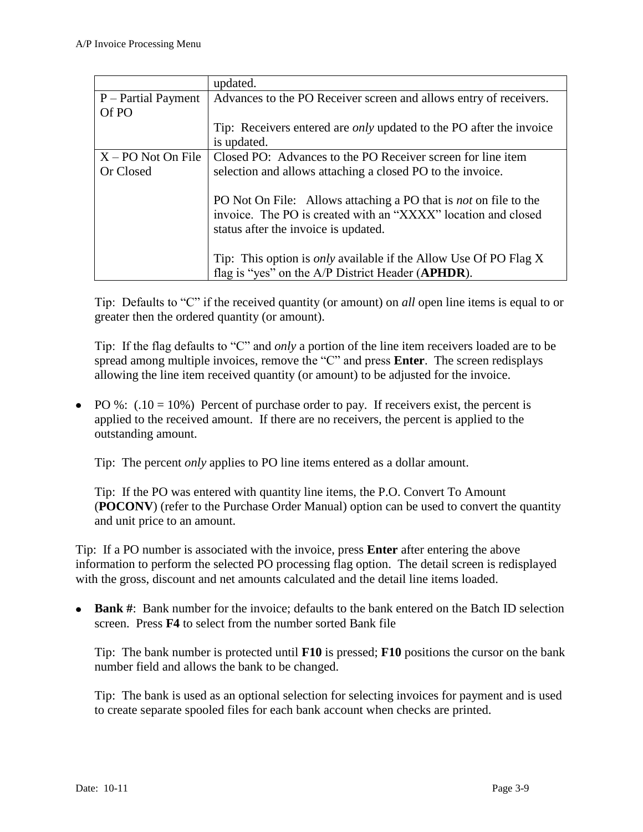|                      | updated.                                                                   |
|----------------------|----------------------------------------------------------------------------|
| P – Partial Payment  | Advances to the PO Receiver screen and allows entry of receivers.          |
| Of PO                |                                                                            |
|                      | Tip: Receivers entered are <i>only</i> updated to the PO after the invoice |
|                      | is updated.                                                                |
| $X - PO$ Not On File | Closed PO: Advances to the PO Receiver screen for line item                |
| Or Closed            | selection and allows attaching a closed PO to the invoice.                 |
|                      |                                                                            |
|                      | PO Not On File: Allows attaching a PO that is <i>not</i> on file to the    |
|                      | invoice. The PO is created with an "XXXX" location and closed              |
|                      | status after the invoice is updated.                                       |
|                      |                                                                            |
|                      | Tip: This option is <i>only</i> available if the Allow Use Of PO Flag X    |
|                      | flag is "yes" on the A/P District Header (APHDR).                          |

Tip: Defaults to "C" if the received quantity (or amount) on *all* open line items is equal to or greater then the ordered quantity (or amount).

Tip: If the flag defaults to "C" and *only* a portion of the line item receivers loaded are to be spread among multiple invoices, remove the "C" and press **Enter**. The screen redisplays allowing the line item received quantity (or amount) to be adjusted for the invoice.

• PO %:  $(.10 = 10%)$  Percent of purchase order to pay. If receivers exist, the percent is applied to the received amount. If there are no receivers, the percent is applied to the outstanding amount.

Tip: The percent *only* applies to PO line items entered as a dollar amount.

Tip: If the PO was entered with quantity line items, the P.O. Convert To Amount (**POCONV**) (refer to the Purchase Order Manual) option can be used to convert the quantity and unit price to an amount.

Tip: If a PO number is associated with the invoice, press **Enter** after entering the above information to perform the selected PO processing flag option. The detail screen is redisplayed with the gross, discount and net amounts calculated and the detail line items loaded.

• **Bank** #: Bank number for the invoice; defaults to the bank entered on the Batch ID selection screen. Press **F4** to select from the number sorted Bank file

Tip: The bank number is protected until **F10** is pressed; **F10** positions the cursor on the bank number field and allows the bank to be changed.

Tip: The bank is used as an optional selection for selecting invoices for payment and is used to create separate spooled files for each bank account when checks are printed.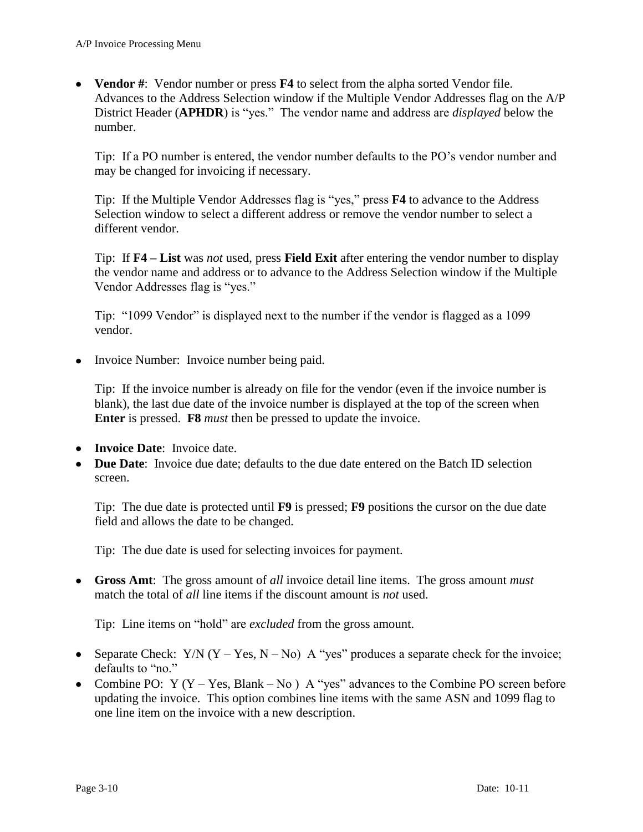**Vendor #**: Vendor number or press **F4** to select from the alpha sorted Vendor file. Advances to the Address Selection window if the Multiple Vendor Addresses flag on the A/P District Header (**APHDR**) is "yes." The vendor name and address are *displayed* below the number.

Tip: If a PO number is entered, the vendor number defaults to the PO's vendor number and may be changed for invoicing if necessary.

Tip: If the Multiple Vendor Addresses flag is "yes," press **F4** to advance to the Address Selection window to select a different address or remove the vendor number to select a different vendor.

Tip: If **F4 – List** was *not* used, press **Field Exit** after entering the vendor number to display the vendor name and address or to advance to the Address Selection window if the Multiple Vendor Addresses flag is "yes."

Tip: "1099 Vendor" is displayed next to the number if the vendor is flagged as a 1099 vendor.

• Invoice Number: Invoice number being paid.

Tip: If the invoice number is already on file for the vendor (even if the invoice number is blank), the last due date of the invoice number is displayed at the top of the screen when **Enter** is pressed. **F8** *must* then be pressed to update the invoice.

- **Invoice Date**: Invoice date.
- **Due Date**: Invoice due date; defaults to the due date entered on the Batch ID selection screen.

Tip: The due date is protected until **F9** is pressed; **F9** positions the cursor on the due date field and allows the date to be changed.

Tip: The due date is used for selecting invoices for payment.

**Gross Amt**: The gross amount of *all* invoice detail line items. The gross amount *must* match the total of *all* line items if the discount amount is *not* used.

Tip: Line items on "hold" are *excluded* from the gross amount.

- Separate Check:  $Y/N$  (Y Yes, N No) A "yes" produces a separate check for the invoice; defaults to "no."
- Combine PO:  $Y (Y Yes, Blank No) A "yes" advances to the Combine PO screen before$ updating the invoice. This option combines line items with the same ASN and 1099 flag to one line item on the invoice with a new description.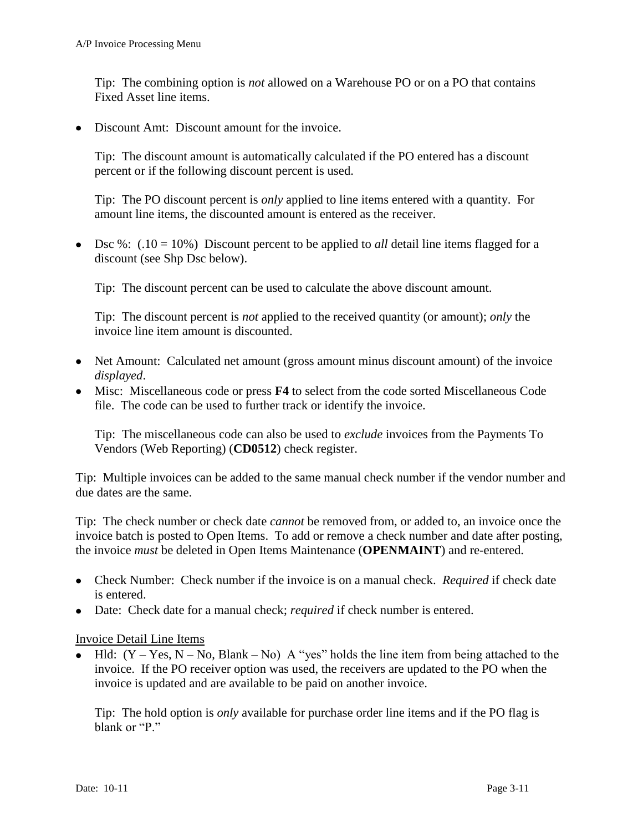Tip: The combining option is *not* allowed on a Warehouse PO or on a PO that contains Fixed Asset line items.

• Discount Amt: Discount amount for the invoice.

Tip: The discount amount is automatically calculated if the PO entered has a discount percent or if the following discount percent is used.

Tip: The PO discount percent is *only* applied to line items entered with a quantity. For amount line items, the discounted amount is entered as the receiver.

 $\bullet$  Dsc %: (.10 = 10%) Discount percent to be applied to *all* detail line items flagged for a discount (see Shp Dsc below).

Tip: The discount percent can be used to calculate the above discount amount.

Tip: The discount percent is *not* applied to the received quantity (or amount); *only* the invoice line item amount is discounted.

- Net Amount: Calculated net amount (gross amount minus discount amount) of the invoice *displayed*.
- Misc: Miscellaneous code or press **F4** to select from the code sorted Miscellaneous Code file. The code can be used to further track or identify the invoice.

Tip: The miscellaneous code can also be used to *exclude* invoices from the Payments To Vendors (Web Reporting) (**CD0512**) check register.

Tip: Multiple invoices can be added to the same manual check number if the vendor number and due dates are the same.

Tip: The check number or check date *cannot* be removed from, or added to, an invoice once the invoice batch is posted to Open Items. To add or remove a check number and date after posting, the invoice *must* be deleted in Open Items Maintenance (**OPENMAINT**) and re-entered.

- Check Number: Check number if the invoice is on a manual check. *Required* if check date is entered.
- Date: Check date for a manual check; *required* if check number is entered.

Invoice Detail Line Items

• Hld:  $(Y - Yes, N - No, Blank - No)$  A "yes" holds the line item from being attached to the invoice. If the PO receiver option was used, the receivers are updated to the PO when the invoice is updated and are available to be paid on another invoice.

Tip: The hold option is *only* available for purchase order line items and if the PO flag is blank or "P."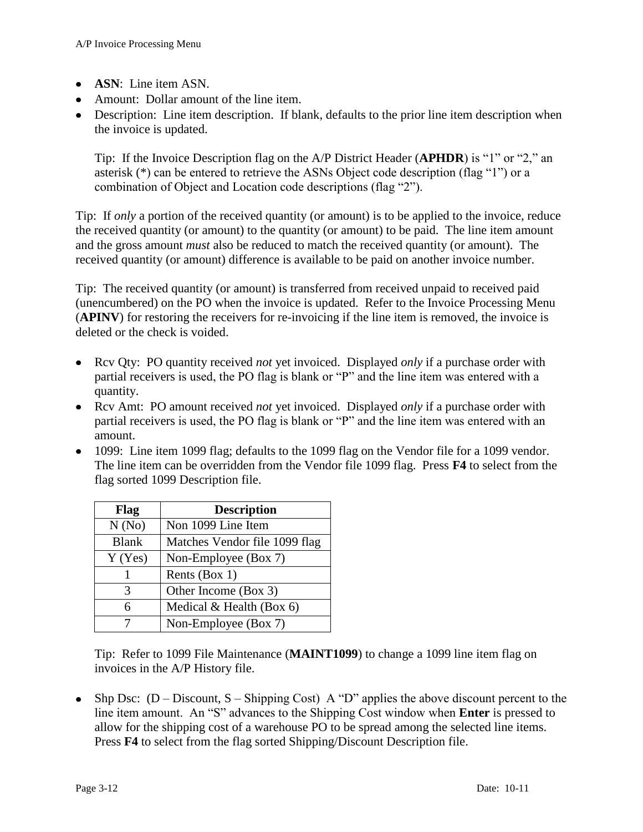- **ASN**: Line item ASN.
- Amount: Dollar amount of the line item.
- Description: Line item description. If blank, defaults to the prior line item description when the invoice is updated.

Tip: If the Invoice Description flag on the A/P District Header (**APHDR**) is "1" or "2," an asterisk (\*) can be entered to retrieve the ASNs Object code description (flag "1") or a combination of Object and Location code descriptions (flag "2").

Tip: If *only* a portion of the received quantity (or amount) is to be applied to the invoice, reduce the received quantity (or amount) to the quantity (or amount) to be paid. The line item amount and the gross amount *must* also be reduced to match the received quantity (or amount). The received quantity (or amount) difference is available to be paid on another invoice number.

Tip: The received quantity (or amount) is transferred from received unpaid to received paid (unencumbered) on the PO when the invoice is updated. Refer to the Invoice Processing Menu (**APINV**) for restoring the receivers for re-invoicing if the line item is removed, the invoice is deleted or the check is voided.

- Rcv Qty: PO quantity received *not* yet invoiced. Displayed *only* if a purchase order with partial receivers is used, the PO flag is blank or "P" and the line item was entered with a quantity.
- Rcv Amt: PO amount received *not* yet invoiced. Displayed *only* if a purchase order with partial receivers is used, the PO flag is blank or "P" and the line item was entered with an amount.
- 1099: Line item 1099 flag; defaults to the 1099 flag on the Vendor file for a 1099 vendor. The line item can be overridden from the Vendor file 1099 flag. Press **F4** to select from the flag sorted 1099 Description file.

| Flag         | <b>Description</b>            |
|--------------|-------------------------------|
| N(No)        | Non 1099 Line Item            |
| <b>Blank</b> | Matches Vendor file 1099 flag |
| $Y$ (Yes)    | Non-Employee (Box 7)          |
|              | Rents (Box 1)                 |
| 3            | Other Income (Box 3)          |
| 6            | Medical $&$ Health (Box 6)    |
|              | Non-Employee (Box 7)          |

Tip: Refer to 1099 File Maintenance (**MAINT1099**) to change a 1099 line item flag on invoices in the A/P History file.

• Shp Dsc:  $(D - Discount, S - Shipping Cost)$  A "D" applies the above discount percent to the line item amount. An "S" advances to the Shipping Cost window when **Enter** is pressed to allow for the shipping cost of a warehouse PO to be spread among the selected line items. Press **F4** to select from the flag sorted Shipping/Discount Description file.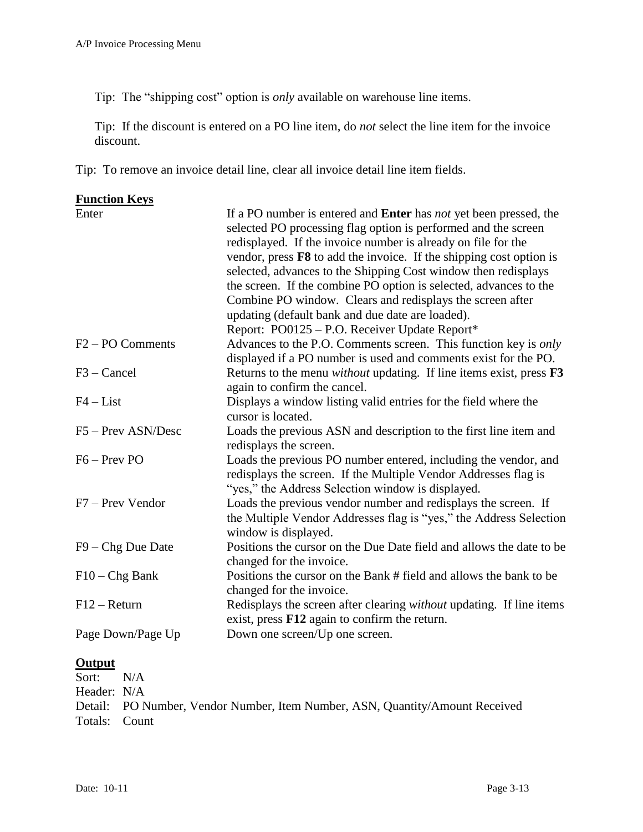Tip: The "shipping cost" option is *only* available on warehouse line items.

Tip: If the discount is entered on a PO line item, do *not* select the line item for the invoice discount.

Tip: To remove an invoice detail line, clear all invoice detail line item fields.

| <b>Function Keys</b>         |                                                                                                                                                                                                                                                                                                                                                                                                                                                                                                                                                     |
|------------------------------|-----------------------------------------------------------------------------------------------------------------------------------------------------------------------------------------------------------------------------------------------------------------------------------------------------------------------------------------------------------------------------------------------------------------------------------------------------------------------------------------------------------------------------------------------------|
| Enter                        | If a PO number is entered and <b>Enter</b> has <i>not</i> yet been pressed, the<br>selected PO processing flag option is performed and the screen<br>redisplayed. If the invoice number is already on file for the<br>vendor, press $F8$ to add the invoice. If the shipping cost option is<br>selected, advances to the Shipping Cost window then redisplays<br>the screen. If the combine PO option is selected, advances to the<br>Combine PO window. Clears and redisplays the screen after<br>updating (default bank and due date are loaded). |
|                              | Report: PO0125 - P.O. Receiver Update Report*                                                                                                                                                                                                                                                                                                                                                                                                                                                                                                       |
| F <sub>2</sub> – PO Comments | Advances to the P.O. Comments screen. This function key is <i>only</i><br>displayed if a PO number is used and comments exist for the PO.                                                                                                                                                                                                                                                                                                                                                                                                           |
| $F3 - C$ ancel               | Returns to the menu <i>without</i> updating. If line items exist, press <b>F3</b><br>again to confirm the cancel.                                                                                                                                                                                                                                                                                                                                                                                                                                   |
| $F4 - List$                  | Displays a window listing valid entries for the field where the<br>cursor is located.                                                                                                                                                                                                                                                                                                                                                                                                                                                               |
| F5 - Prev ASN/Desc           | Loads the previous ASN and description to the first line item and<br>redisplays the screen.                                                                                                                                                                                                                                                                                                                                                                                                                                                         |
| $F6 - Prev PO$               | Loads the previous PO number entered, including the vendor, and<br>redisplays the screen. If the Multiple Vendor Addresses flag is<br>"yes," the Address Selection window is displayed.                                                                                                                                                                                                                                                                                                                                                             |
| F7 – Prev Vendor             | Loads the previous vendor number and redisplays the screen. If<br>the Multiple Vendor Addresses flag is "yes," the Address Selection<br>window is displayed.                                                                                                                                                                                                                                                                                                                                                                                        |
| $F9 - Chg$ Due Date          | Positions the cursor on the Due Date field and allows the date to be<br>changed for the invoice.                                                                                                                                                                                                                                                                                                                                                                                                                                                    |
| $F10 - Chg Bank$             | Positions the cursor on the Bank # field and allows the bank to be<br>changed for the invoice.                                                                                                                                                                                                                                                                                                                                                                                                                                                      |
| $F12 - Return$               | Redisplays the screen after clearing <i>without</i> updating. If line items<br>exist, press F12 again to confirm the return.                                                                                                                                                                                                                                                                                                                                                                                                                        |
| Page Down/Page Up            | Down one screen/Up one screen.                                                                                                                                                                                                                                                                                                                                                                                                                                                                                                                      |

## **Output**

Sort: N/A Header: N/A Detail: PO Number, Vendor Number, Item Number, ASN, Quantity/Amount Received Totals: Count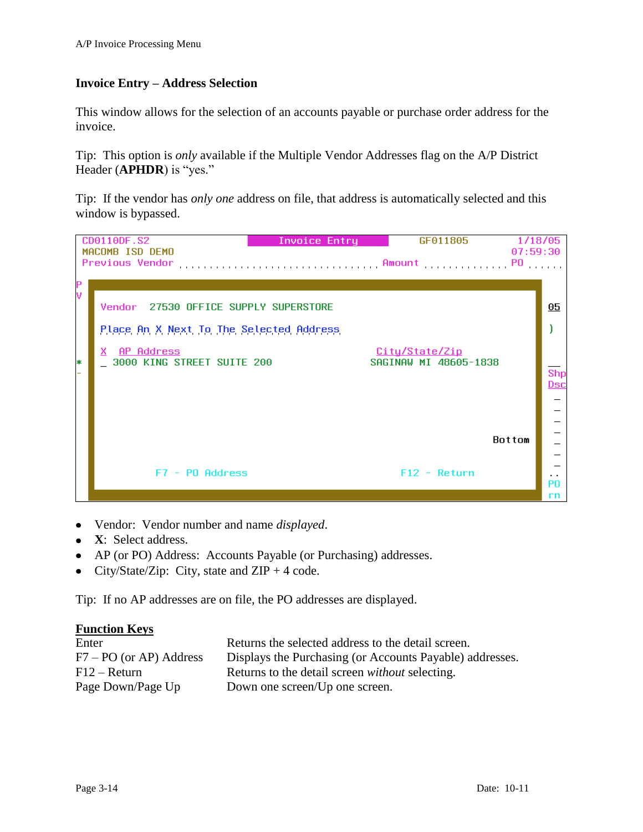## **Invoice Entry – Address Selection**

This window allows for the selection of an accounts payable or purchase order address for the invoice.

Tip: This option is *only* available if the Multiple Vendor Addresses flag on the A/P District Header (**APHDR**) is "yes."

Tip: If the vendor has *only one* address on file, that address is automatically selected and this window is bypassed.



- Vendor: Vendor number and name *displayed*.  $\bullet$
- **X**: Select address.
- AP (or PO) Address: Accounts Payable (or Purchasing) addresses.  $\bullet$
- City/State/Zip: City, state and  $ZIP + 4$  code.  $\bullet$

Tip: If no AP addresses are on file, the PO addresses are displayed.

| Enter                     | Returns the selected address to the detail screen.       |
|---------------------------|----------------------------------------------------------|
| $F7 - PO$ (or AP) Address | Displays the Purchasing (or Accounts Payable) addresses. |
| $F12 - Return$            | Returns to the detail screen <i>without</i> selecting.   |
| Page Down/Page Up         | Down one screen/Up one screen.                           |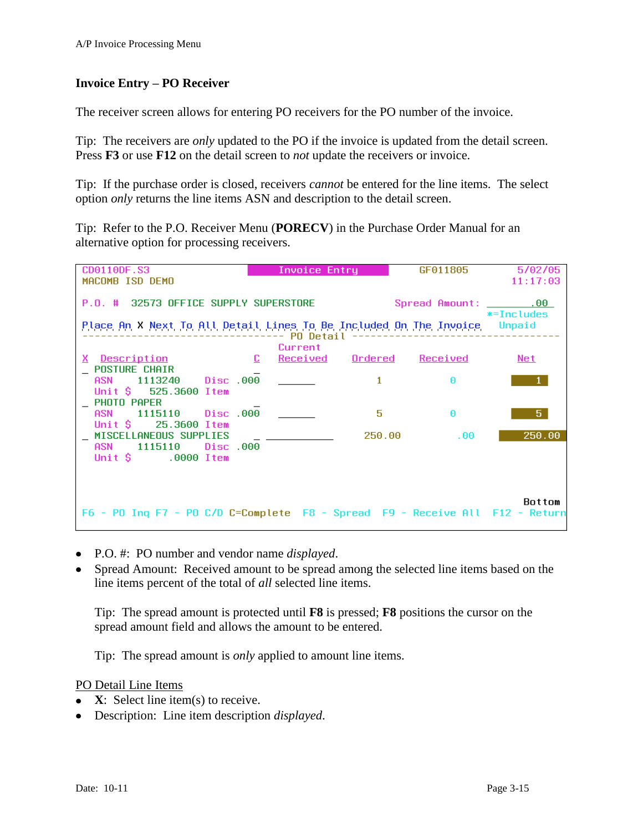## **Invoice Entry – PO Receiver**

The receiver screen allows for entering PO receivers for the PO number of the invoice.

Tip: The receivers are *only* updated to the PO if the invoice is updated from the detail screen. Press **F3** or use **F12** on the detail screen to *not* update the receivers or invoice.

Tip: If the purchase order is closed, receivers *cannot* be entered for the line items. The select option *only* returns the line items ASN and description to the detail screen.

Tip: Refer to the P.O. Receiver Menu (**PORECV**) in the Purchase Order Manual for an alternative option for processing receivers.

| CD0110DF.S3<br>MACOMB ISD DEMO                                                                                | Invoice Entry     |                  | GF011805                   | 5/02/05<br>11:17:03      |
|---------------------------------------------------------------------------------------------------------------|-------------------|------------------|----------------------------|--------------------------|
| P.O. # 32573 OFFICE SUPPLY SUPERSTORE<br>Place An X Next To All Detail Lines To Be Included On The Invoice    | ------- PO Detail |                  | Spread Amount: ________.00 | $* = Includes$<br>Unpaid |
| $\Box$<br>X Description                                                                                       | Current           | Received Ordered | Received                   | Net                      |
| <b>POSTURE CHAIR</b><br><b>ASN</b><br>1113240 Disc.000<br>Unit $\texttt{S}$ 525.3600 Item<br>$\_$ PHOTO PAPER |                   | $\mathbf{1}$     | A.                         |                          |
| 1115110 Disc 000<br>ASN<br>Unit S<br>25.3600 Item                                                             |                   | 5                | Θ                          | 5.                       |
| MISCELLANEOUS SUPPLIES<br>Disc .000<br>ASN 1115110<br>Unit $\sin 9000$ Item                                   |                   | 250.00           | .00.                       | 250.00                   |
| F6 - PO Ing F7 - PO C/D C=Complete F8 - Spread F9 - Receive All F12 - Return                                  |                   |                  |                            | <b>Bottom</b>            |

- P.O. #: PO number and vendor name *displayed*.
- Spread Amount: Received amount to be spread among the selected line items based on the line items percent of the total of *all* selected line items.

Tip: The spread amount is protected until **F8** is pressed; **F8** positions the cursor on the spread amount field and allows the amount to be entered.

Tip: The spread amount is *only* applied to amount line items.

### PO Detail Line Items

- **X**: Select line item(s) to receive.
- Description: Line item description *displayed*.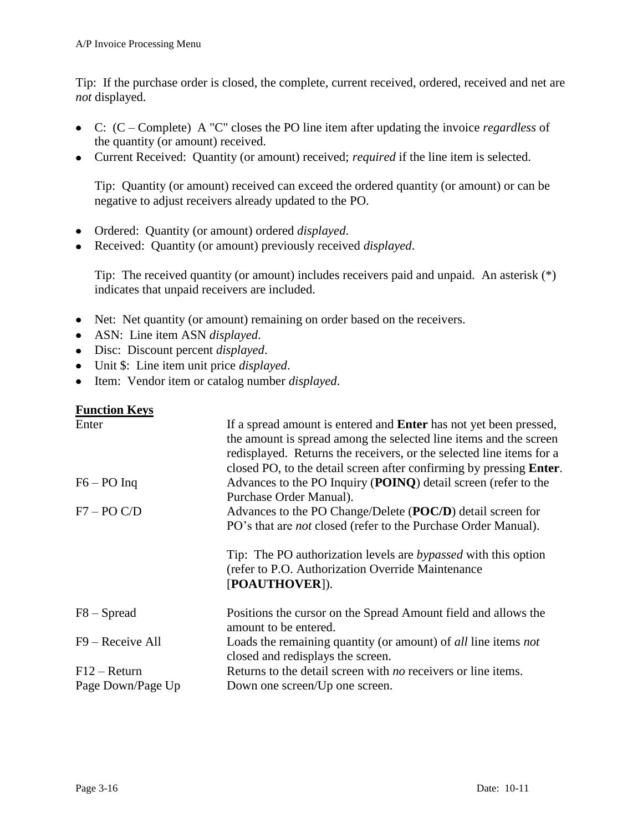Tip: If the purchase order is closed, the complete, current received, ordered, received and net are *not* displayed.

- C: (C Complete) A "C" closes the PO line item after updating the invoice *regardless* of the quantity (or amount) received.
- Current Received: Quantity (or amount) received; *required* if the line item is selected.

Tip: Quantity (or amount) received can exceed the ordered quantity (or amount) or can be negative to adjust receivers already updated to the PO.

- Ordered: Quantity (or amount) ordered *displayed*.
- Received: Quantity (or amount) previously received *displayed*.

Tip: The received quantity (or amount) includes receivers paid and unpaid. An asterisk (\*) indicates that unpaid receivers are included.

- Net: Net quantity (or amount) remaining on order based on the receivers.
- ASN: Line item ASN *displayed*.
- Disc: Discount percent *displayed*.
- Unit \$: Line item unit price *displayed*.
- Item: Vendor item or catalog number *displayed*.  $\bullet$

| Enter             | If a spread amount is entered and <b>Enter</b> has not yet been pressed,<br>the amount is spread among the selected line items and the screen<br>redisplayed. Returns the receivers, or the selected line items for a<br>closed PO, to the detail screen after confirming by pressing <b>Enter</b> . |
|-------------------|------------------------------------------------------------------------------------------------------------------------------------------------------------------------------------------------------------------------------------------------------------------------------------------------------|
| $F6 - PO$ Inq     | Advances to the PO Inquiry (POINQ) detail screen (refer to the                                                                                                                                                                                                                                       |
|                   | Purchase Order Manual).                                                                                                                                                                                                                                                                              |
| $F7 - PO C/D$     | Advances to the PO Change/Delete (POC/D) detail screen for                                                                                                                                                                                                                                           |
|                   | PO's that are <i>not</i> closed (refer to the Purchase Order Manual).                                                                                                                                                                                                                                |
|                   | Tip: The PO authorization levels are <i>bypassed</i> with this option<br>(refer to P.O. Authorization Override Maintenance)<br>[POAUTHOVER]).                                                                                                                                                        |
| $F8 - S$ pread    | Positions the cursor on the Spread Amount field and allows the<br>amount to be entered.                                                                                                                                                                                                              |
| F9 – Receive All  | Loads the remaining quantity (or amount) of all line items not<br>closed and redisplays the screen.                                                                                                                                                                                                  |
| $F12 - Return$    | Returns to the detail screen with <i>no</i> receivers or line items.                                                                                                                                                                                                                                 |
| Page Down/Page Up | Down one screen/Up one screen.                                                                                                                                                                                                                                                                       |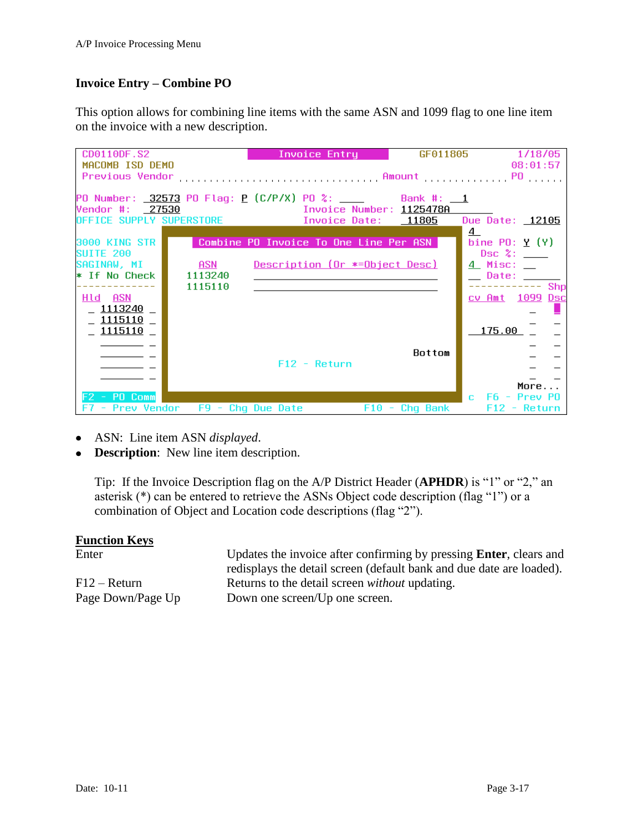## **Invoice Entry – Combine PO**

This option allows for combining line items with the same ASN and 1099 flag to one line item on the invoice with a new description.

| CD0110DF.S2              |                                 | <b>Invoice Entry</b>                   |                  | GF011805 1/18/05       |
|--------------------------|---------------------------------|----------------------------------------|------------------|------------------------|
| MACOMB ISD DEMO          |                                 |                                        |                  | 08:01:57               |
| <b>Previous Vendor</b>   |                                 |                                        |                  |                        |
|                          |                                 |                                        |                  |                        |
|                          |                                 |                                        |                  |                        |
| Vendor #: 27530          |                                 | Invoice Number: <u>1125478A</u>        |                  |                        |
| OFFICE SUPPLY SUPERSTORE |                                 | Invoice Date:     11805                |                  | Due Date: 12105        |
|                          |                                 |                                        |                  | <u>4</u>               |
| 3000 KING STR            |                                 | Combine PO Invoice To One Line Per ASN |                  | bine $P0: Y(Y)$        |
| SHITF 200                |                                 |                                        |                  | $\mathsf{Dsc}$ %:      |
| SAGINAW, MI              | ASN                             | Description (Or *=Object Desc)         |                  | <u> 4 Misc: _</u>      |
| * If No Check            | 1113240                         |                                        |                  | __ Date: _____         |
|                          | 1115110                         |                                        |                  | $--$ Shp               |
| Hld –<br>ASN             |                                 |                                        |                  | <u>cv Amt 1099 Dsc</u> |
| 1113240                  |                                 |                                        |                  |                        |
| <u>1115110</u>           |                                 |                                        |                  |                        |
| <u> 1115110</u>          |                                 |                                        |                  | <u> 175.00</u>         |
|                          |                                 |                                        |                  |                        |
|                          |                                 |                                        | Bottom           |                        |
|                          |                                 | $F12 - Return$                         |                  |                        |
|                          |                                 |                                        |                  |                        |
| F2 - PO Comm             |                                 |                                        |                  | More<br>C.             |
|                          | - Prev Vendor F9 - Chq Due Date |                                        | $F10 - Chq$ Bank | - F6 - Prev PO         |
|                          |                                 |                                        |                  | $F12 - Return$         |

- ASN: Line item ASN *displayed*.
- **Description**: New line item description.

Tip: If the Invoice Description flag on the A/P District Header (**APHDR**) is "1" or "2," an asterisk (\*) can be entered to retrieve the ASNs Object code description (flag "1") or a combination of Object and Location code descriptions (flag "2").

### **Function Keys**

Enter Updates the invoice after confirming by pressing **Enter**, clears and redisplays the detail screen (default bank and due date are loaded). F12 – Return Returns to the detail screen *without* updating. Page Down/Page Up Down one screen/Up one screen.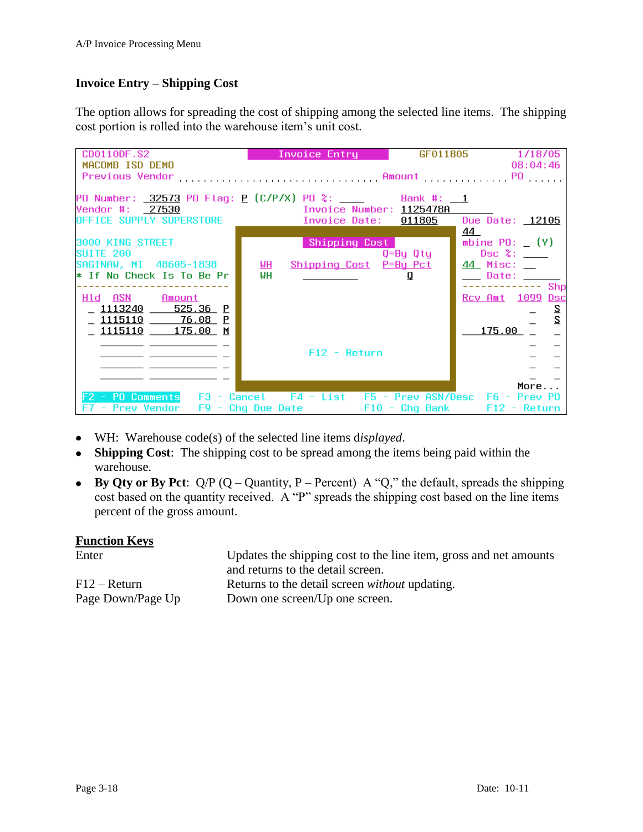## **Invoice Entry – Shipping Cost**

The option allows for spreading the cost of shipping among the selected line items. The shipping cost portion is rolled into the warehouse item's unit cost.

| CD0110DF.S2<br>MACOMB ISD DEMO                                                                                                                                  | Invoice Entry                                           | GF011805 | 1/18/05<br>08:04:46                       |
|-----------------------------------------------------------------------------------------------------------------------------------------------------------------|---------------------------------------------------------|----------|-------------------------------------------|
| Previous Vendor                                                                                                                                                 |                                                         |          |                                           |
| PO Number: _32573 PO Flag: <u>P</u> (C/P/X) PO %: _____       Bank #: __ <u>1</u>                                                                               |                                                         |          |                                           |
| Vendor #: 27530<br>Vendor #: 27530<br>OFFICE SUPPLY SUPERSTORE              Invoice Date: 011805                                                                |                                                         |          | 44.                                       |
| 3000 KING STREET<br><b>SUITE 200</b>                                                                                                                            | Shipping Cost                                           | Q=By Qty | mbine $P0: (Y)$                           |
| SAGINAW, MI 48605-1838<br>* If No Check Is To Be Pr                                                                                                             | <u>ын</u><br><u>Shipping Cost</u> P=By Pct<br><b>WH</b> | Ū        | <u>44</u> Misc: __<br>_____ Date: _______ |
| Hld ASN Amount                                                                                                                                                  |                                                         |          | $\overline{-}$ Shp<br>Rcv Amt 1099 Dsc    |
| <u>_ 1113240   525.36 P</u><br>1115110 76.08 P                                                                                                                  |                                                         |          | $\overline{z}$<br>$\overline{2}$          |
| 1115110 175.00 M                                                                                                                                                |                                                         |          | 175.00                                    |
|                                                                                                                                                                 | $F12 - Return$                                          |          |                                           |
|                                                                                                                                                                 |                                                         |          | More                                      |
| F2 - PO Comments F3 - Cancel F4 - List F5 - Prev ASN/Desc F6 - Prev PO<br>F7 - Prev Vendor   F9 - Chq Due Date               F10 - Chq Bank        F12 - Return |                                                         |          |                                           |

- WH: Warehouse code(s) of the selected line items d*isplayed*.
- **Shipping Cost**: The shipping cost to be spread among the items being paid within the warehouse.
- **By Qty or By Pct**:  $Q/P$  ( $Q -$ Quantity, P Percent) A "Q," the default, spreads the shipping cost based on the quantity received. A "P" spreads the shipping cost based on the line items percent of the gross amount.

| Enter             | Updates the shipping cost to the line item, gross and net amounts |
|-------------------|-------------------------------------------------------------------|
|                   | and returns to the detail screen.                                 |
| $F12 - Return$    | Returns to the detail screen <i>without</i> updating.             |
| Page Down/Page Up | Down one screen/Up one screen.                                    |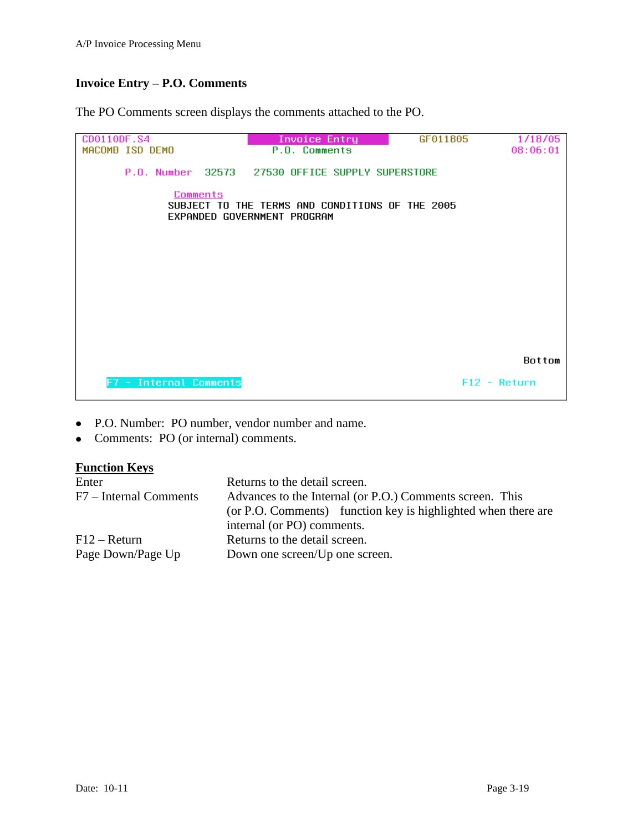## **Invoice Entry – P.O. Comments**

The PO Comments screen displays the comments attached to the PO.



- P.O. Number: PO number, vendor number and name.  $\bullet$
- Comments: PO (or internal) comments.  $\bullet$

| Enter                  | Returns to the detail screen.                                 |  |  |
|------------------------|---------------------------------------------------------------|--|--|
| F7 – Internal Comments | Advances to the Internal (or P.O.) Comments screen. This      |  |  |
|                        | (or P.O. Comments) function key is highlighted when there are |  |  |
|                        | internal (or PO) comments.                                    |  |  |
| $F12 - Return$         | Returns to the detail screen.                                 |  |  |
| Page Down/Page Up      | Down one screen/Up one screen.                                |  |  |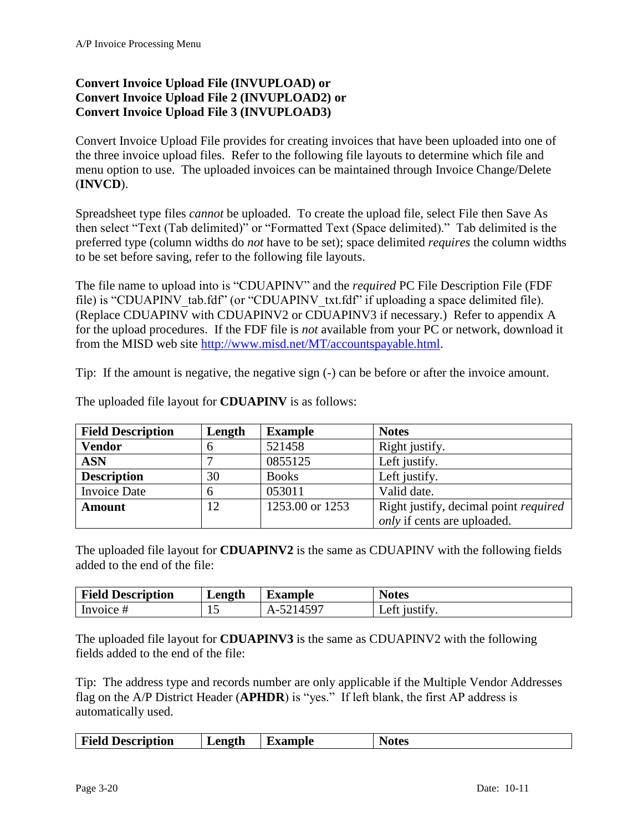## <span id="page-19-1"></span><span id="page-19-0"></span>**Convert Invoice Upload File (INVUPLOAD) or Convert Invoice Upload File 2 (INVUPLOAD2) or Convert Invoice Upload File 3 (INVUPLOAD3)**

<span id="page-19-2"></span>Convert Invoice Upload File provides for creating invoices that have been uploaded into one of the three invoice upload files. Refer to the following file layouts to determine which file and menu option to use. The uploaded invoices can be maintained through Invoice Change/Delete (**INVCD**).

Spreadsheet type files *cannot* be uploaded. To create the upload file, select File then Save As then select "Text (Tab delimited)" or "Formatted Text (Space delimited)." Tab delimited is the preferred type (column widths do *not* have to be set); space delimited *requires* the column widths to be set before saving, refer to the following file layouts.

The file name to upload into is "CDUAPINV" and the *required* PC File Description File (FDF file) is "CDUAPINV tab.fdf" (or "CDUAPINV txt.fdf" if uploading a space delimited file). (Replace CDUAPINV with CDUAPINV2 or CDUAPINV3 if necessary.) Refer to appendix A for the upload procedures. If the FDF file is *not* available from your PC or network, download it from the MISD web site [http://www.misd.net/MT/accountspayable.html.](http://www.misd.net/MT/accountspayable.html)

Tip: If the amount is negative, the negative sign (-) can be before or after the invoice amount.

| <b>Field Description</b> | Length | <b>Example</b>  | <b>Notes</b>                                 |
|--------------------------|--------|-----------------|----------------------------------------------|
| <b>Vendor</b>            | h      | 521458          | Right justify.                               |
| <b>ASN</b>               |        | 0855125         | Left justify.                                |
| <b>Description</b>       | 30     | <b>Books</b>    | Left justify.                                |
| <b>Invoice Date</b>      | 6      | 053011          | Valid date.                                  |
| <b>Amount</b>            | 12     | 1253.00 or 1253 | Right justify, decimal point <i>required</i> |
|                          |        |                 | <i>only</i> if cents are uploaded.           |

The uploaded file layout for **CDUAPINV** is as follows:

The uploaded file layout for **CDUAPINV2** is the same as CDUAPINV with the following fields added to the end of the file:

| <b>Field Description</b> | Length | Ð<br>Example | <b>Notes</b>     |
|--------------------------|--------|--------------|------------------|
| Invoice $#$              |        | $\Delta$ -   | Lett<br>1ustif v |

The uploaded file layout for **CDUAPINV3** is the same as CDUAPINV2 with the following fields added to the end of the file:

Tip: The address type and records number are only applicable if the Multiple Vendor Addresses flag on the A/P District Header (**APHDR**) is "yes." If left blank, the first AP address is automatically used.

| <b>Field Description</b><br>Length<br>Example | √otes |
|-----------------------------------------------|-------|
|-----------------------------------------------|-------|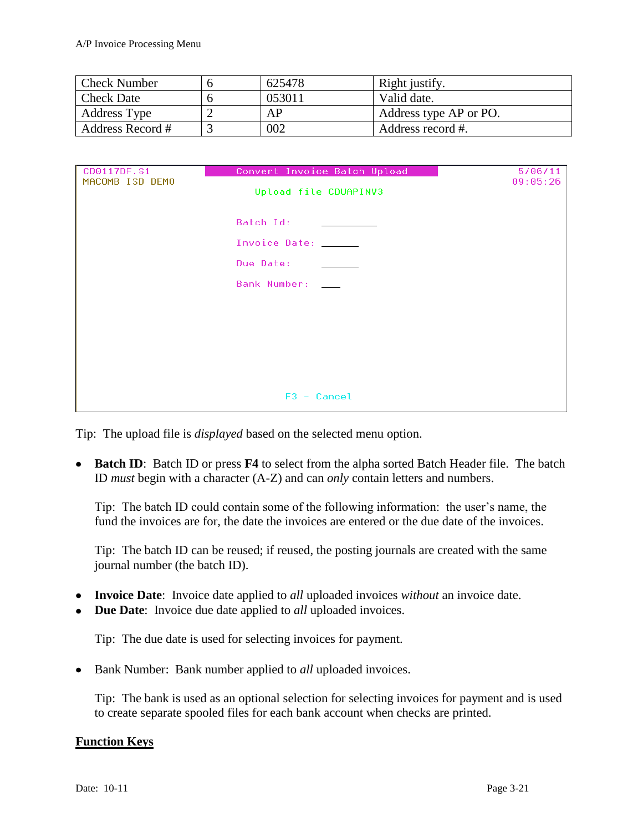| <b>Check Number</b> | 625478 | Right justify.         |
|---------------------|--------|------------------------|
| <b>Check Date</b>   | 053011 | Valid date.            |
| Address Type        | АP     | Address type AP or PO. |
| Address Record #    | 002    | Address record #.      |

| CD0117DF.S1<br>MACOMB ISD DEMO | Convert Invoice Batch Upload<br>Upload file CDUAPINV3 | 5/06/11<br>09:05:26 |
|--------------------------------|-------------------------------------------------------|---------------------|
|                                | Batch Id:<br>Invoice Date: ______                     |                     |
|                                | Due Date:                                             |                     |
|                                | Bank Number:                                          |                     |
|                                |                                                       |                     |
|                                |                                                       |                     |
|                                | $F3 - Cancel$                                         |                     |

Tip: The upload file is *displayed* based on the selected menu option.

**Batch ID**: Batch ID or press **F4** to select from the alpha sorted Batch Header file. The batch ID *must* begin with a character (A-Z) and can *only* contain letters and numbers.

Tip: The batch ID could contain some of the following information: the user's name, the fund the invoices are for, the date the invoices are entered or the due date of the invoices.

Tip: The batch ID can be reused; if reused, the posting journals are created with the same journal number (the batch ID).

- **Invoice Date**: Invoice date applied to *all* uploaded invoices *without* an invoice date.
- **Due Date**: Invoice due date applied to *all* uploaded invoices.

Tip: The due date is used for selecting invoices for payment.

• Bank Number: Bank number applied to *all* uploaded invoices.

Tip: The bank is used as an optional selection for selecting invoices for payment and is used to create separate spooled files for each bank account when checks are printed.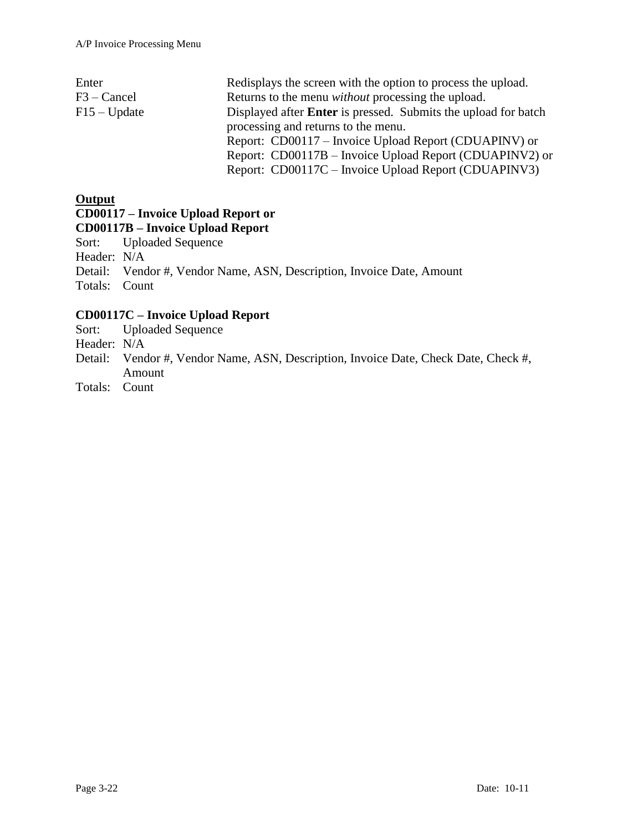| Redisplays the screen with the option to process the upload.          |  |  |  |  |
|-----------------------------------------------------------------------|--|--|--|--|
| Returns to the menu <i>without</i> processing the upload.             |  |  |  |  |
| Displayed after <b>Enter</b> is pressed. Submits the upload for batch |  |  |  |  |
| processing and returns to the menu.                                   |  |  |  |  |
| Report: CD00117 – Invoice Upload Report (CDUAPINV) or                 |  |  |  |  |
| Report: CD00117B – Invoice Upload Report (CDUAPINV2) or               |  |  |  |  |
| Report: CD00117C – Invoice Upload Report (CDUAPINV3)                  |  |  |  |  |
|                                                                       |  |  |  |  |

## **Output**

## **CD00117 – Invoice Upload Report or**

## **CD00117B – Invoice Upload Report**

Sort: Uploaded Sequence

Header: N/A

Detail: Vendor #, Vendor Name, ASN, Description, Invoice Date, Amount

Totals: Count

## **CD00117C – Invoice Upload Report**

- Sort: Uploaded Sequence
- Header: N/A
- Detail: Vendor #, Vendor Name, ASN, Description, Invoice Date, Check Date, Check #, Amount
- Totals: Count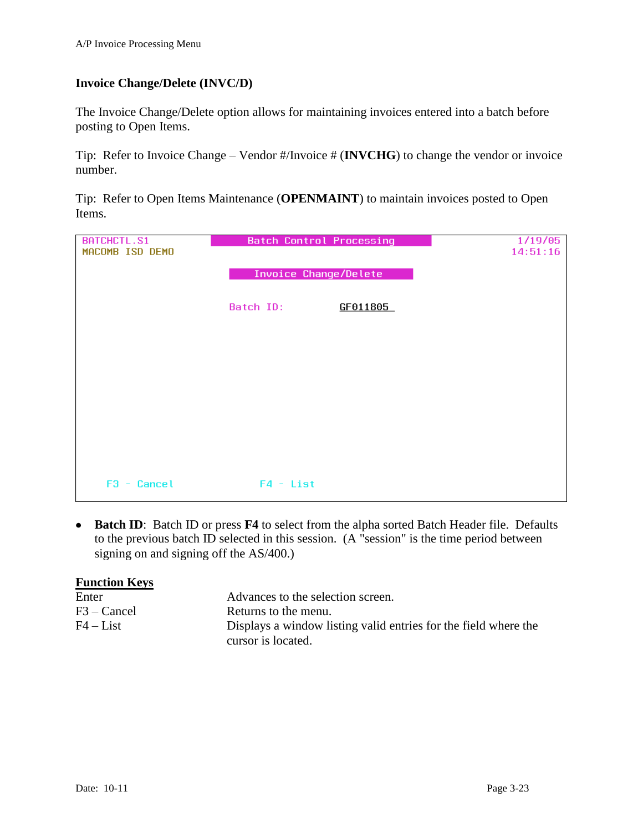## <span id="page-22-0"></span>**Invoice Change/Delete (INVC/D)**

The Invoice Change/Delete option allows for maintaining invoices entered into a batch before posting to Open Items.

Tip: Refer to Invoice Change – Vendor #/Invoice # (**INVCHG**) to change the vendor or invoice number.

Tip: Refer to Open Items Maintenance (**OPENMAINT**) to maintain invoices posted to Open Items.

| <b>BATCHCTL.S1</b> | <b>Batch Control Processing</b> |          | 1/19/05  |
|--------------------|---------------------------------|----------|----------|
| MACOMB ISD DEMO    |                                 |          | 14:51:16 |
|                    |                                 |          |          |
|                    | <b>Invoice Change/Delete</b>    |          |          |
|                    |                                 |          |          |
|                    | Batch ID:                       | GF011805 |          |
|                    |                                 |          |          |
|                    |                                 |          |          |
|                    |                                 |          |          |
|                    |                                 |          |          |
|                    |                                 |          |          |
|                    |                                 |          |          |
|                    |                                 |          |          |
|                    |                                 |          |          |
|                    |                                 |          |          |
|                    |                                 |          |          |
|                    |                                 |          |          |
|                    |                                 |          |          |
| $F3 - Cancel$      | $F4 - List$                     |          |          |

**Batch ID**: Batch ID or press **F4** to select from the alpha sorted Batch Header file. Defaults to the previous batch ID selected in this session. (A "session" is the time period between signing on and signing off the AS/400.)

| <b>Function Keys</b> |                                                                 |
|----------------------|-----------------------------------------------------------------|
| Enter                | Advances to the selection screen.                               |
| F3 – Cancel          | Returns to the menu.                                            |
| $F4 - List$          | Displays a window listing valid entries for the field where the |
|                      | cursor is located.                                              |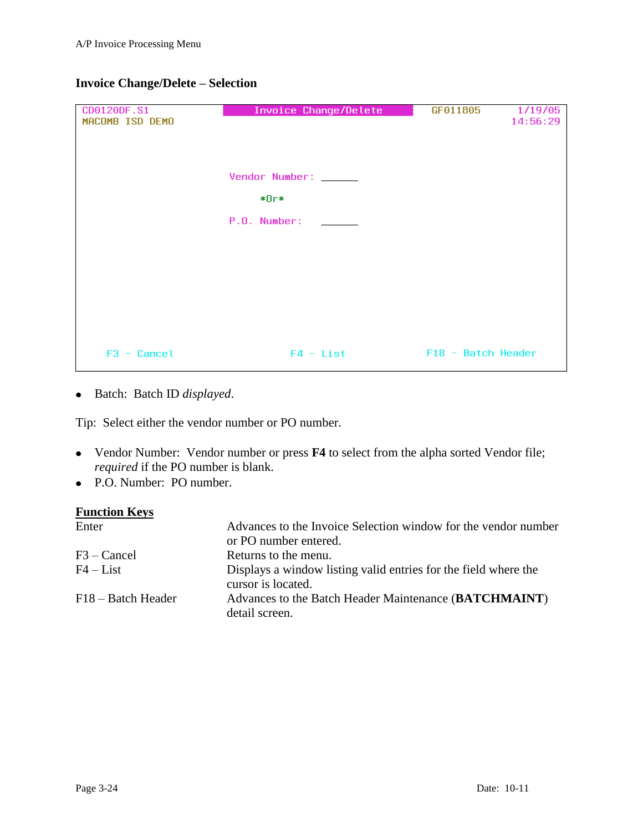| CD0120DF.S1<br>MACOMB ISD DEMO | Invoice Change/Delete | GF011805<br>1/19/05<br>14:56:29 |
|--------------------------------|-----------------------|---------------------------------|
|                                | Vendor Number: _____  |                                 |
|                                | *Or*<br>P.O. Number:  |                                 |
|                                |                       |                                 |
|                                |                       |                                 |
| F3 - Cancel                    | $F4 - List$           | F18 - Batch Header              |

## **Invoice Change/Delete – Selection**

Batch: Batch ID *displayed*.

Tip: Select either the vendor number or PO number.

- Vendor Number: Vendor number or press **F4** to select from the alpha sorted Vendor file; *required* if the PO number is blank.
- P.O. Number: PO number.

| Enter              | Advances to the Invoice Selection window for the vendor number<br>or PO number entered. |
|--------------------|-----------------------------------------------------------------------------------------|
| $F3 - C$ ancel     | Returns to the menu.                                                                    |
| $F4 - List$        | Displays a window listing valid entries for the field where the<br>cursor is located.   |
| F18 – Batch Header | Advances to the Batch Header Maintenance (BATCHMAINT)<br>detail screen.                 |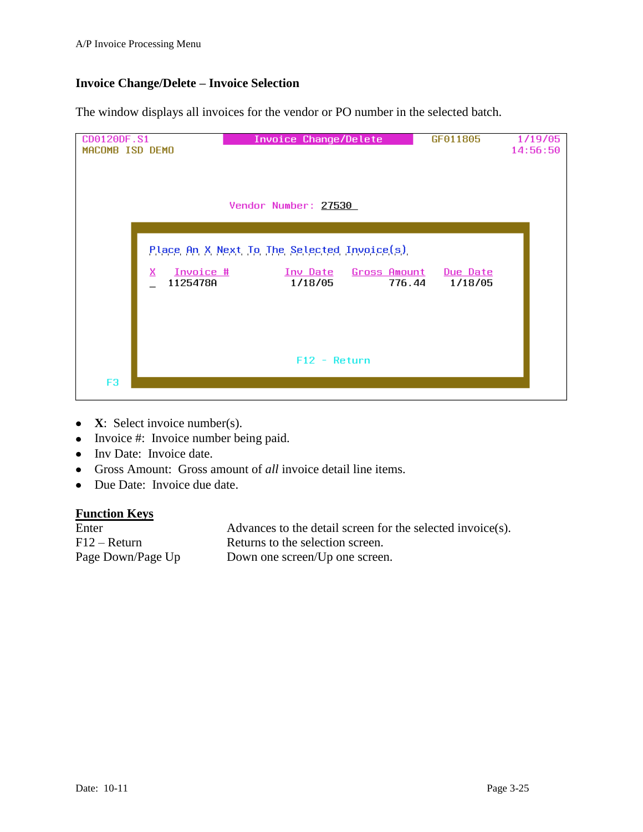## **Invoice Change/Delete – Invoice Selection**

The window displays all invoices for the vendor or PO number in the selected batch.

| CD0120DF.S1<br>MACOMB ISD DEMO | Invoice Change/Delete                                                                              | GF011805            | 1/19/05<br>14:56:50 |
|--------------------------------|----------------------------------------------------------------------------------------------------|---------------------|---------------------|
|                                | Vendor Number: 27530                                                                               |                     |                     |
| x<br>Invoice #<br>1125478A     | Place An X Next To The Selected Invoice(s)<br>Gross Amount<br><u>Inv Date</u><br>1/18/05<br>776.44 | Due Date<br>1/18/05 |                     |
| F <sub>3</sub>                 | $F12 - Return$                                                                                     |                     |                     |

- **X**: Select invoice number(s).
- Invoice #: Invoice number being paid.
- Inv Date: Invoice date.
- Gross Amount: Gross amount of *all* invoice detail line items.
- Due Date: Invoice due date.

#### **Function Keys**

Enter Advances to the detail screen for the selected invoice(s). F12 – Return Returns to the selection screen. Page Down/Page Up Down one screen/Up one screen.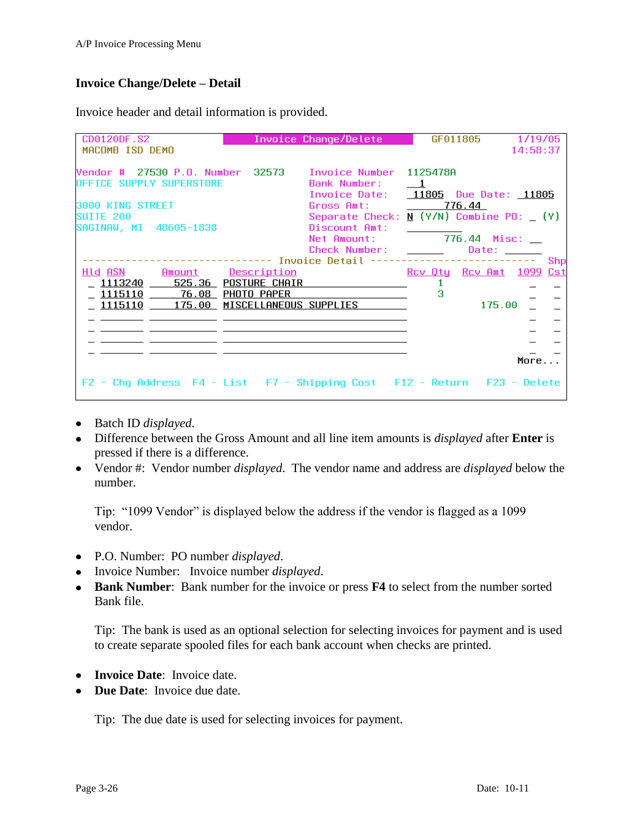### **Invoice Change/Delete – Detail**

Invoice header and detail information is provided.

| CD0120DF.S2                                                                                                                                               |             | Invoice Change/Delete                                                                                                                                                                                        |                         | GF011805                                                                                                                                                                                                                       | 1/19/05  |     |
|-----------------------------------------------------------------------------------------------------------------------------------------------------------|-------------|--------------------------------------------------------------------------------------------------------------------------------------------------------------------------------------------------------------|-------------------------|--------------------------------------------------------------------------------------------------------------------------------------------------------------------------------------------------------------------------------|----------|-----|
| MACOMB ISD DEMO                                                                                                                                           |             |                                                                                                                                                                                                              |                         |                                                                                                                                                                                                                                | 14:58:37 |     |
| Vendor # 27530 P.O. Number 32573    Invoice Number 1125478A<br>OFFICE SUPPLY SUPERSTORE<br>3000 KING STREET<br><b>SUITE 200</b><br>SAGINAW, MI 48605-1838 |             | Bank Number:<br>Invoice Date: 11805 Due Date: 11805<br>Gross Amt: 2776.44<br>Separate Check: $\underline{N}$ (Y/N) Combine PO: $(Y)$<br>Discount Amt:<br>Net Amount: 776.44 Misc: __<br>Check Number: ______ | $\overline{\mathbf{1}}$ | Date: the control of the control of the control of the control of the control of the control of the control of the control of the control of the control of the control of the control of the control of the control of the co |          | Shp |
| Hid ASN Amount Description                                                                                                                                |             |                                                                                                                                                                                                              |                         | Rov Oty Rov Amt 1099 Cst                                                                                                                                                                                                       |          |     |
| <u>1113240 525.36 POSTURE CHAIR</u>                                                                                                                       |             |                                                                                                                                                                                                              |                         |                                                                                                                                                                                                                                |          |     |
| 1115110 76.08                                                                                                                                             | PHOTO PAPER |                                                                                                                                                                                                              | з                       |                                                                                                                                                                                                                                |          |     |
| $1115110$ 175.00                                                                                                                                          |             | MISCELLANEOUS SUPPLIES                                                                                                                                                                                       |                         | 175.00                                                                                                                                                                                                                         |          |     |
|                                                                                                                                                           |             |                                                                                                                                                                                                              |                         |                                                                                                                                                                                                                                |          |     |
|                                                                                                                                                           |             |                                                                                                                                                                                                              |                         |                                                                                                                                                                                                                                |          |     |
|                                                                                                                                                           |             |                                                                                                                                                                                                              |                         |                                                                                                                                                                                                                                |          |     |
|                                                                                                                                                           |             |                                                                                                                                                                                                              |                         |                                                                                                                                                                                                                                | More     |     |
| Chg Address F4 - List F7 - Shipping Cost F12 - Return F23 - Delete<br>$F2 -$                                                                              |             |                                                                                                                                                                                                              |                         |                                                                                                                                                                                                                                |          |     |

- Batch ID *displayed*.
- Difference between the Gross Amount and all line item amounts is *displayed* after **Enter** is pressed if there is a difference.
- Vendor #: Vendor number *displayed*. The vendor name and address are *displayed* below the number.

Tip: "1099 Vendor" is displayed below the address if the vendor is flagged as a 1099 vendor.

- P.O. Number: PO number *displayed*.
- Invoice Number: Invoice number *displayed*.
- **Bank Number**: Bank number for the invoice or press **F4** to select from the number sorted Bank file.

Tip: The bank is used as an optional selection for selecting invoices for payment and is used to create separate spooled files for each bank account when checks are printed.

- **Invoice Date**: Invoice date.
- **Due Date:** Invoice due date.

Tip: The due date is used for selecting invoices for payment.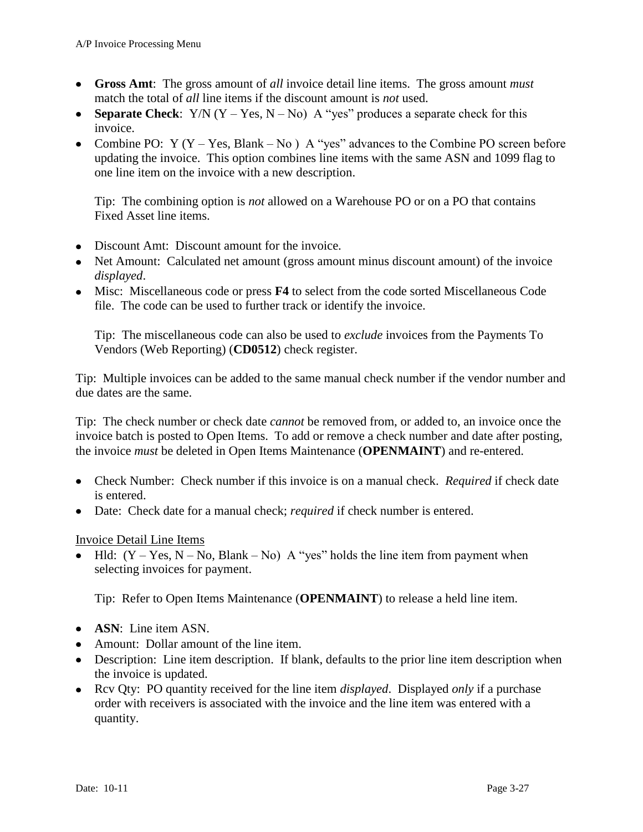- **Gross Amt**: The gross amount of *all* invoice detail line items. The gross amount *must* match the total of *all* line items if the discount amount is *not* used.
- **Separate Check**:  $Y/N$  ( $Y Yes$ ,  $N No$ ) A "yes" produces a separate check for this invoice.
- Combine PO:  $Y (Y Yes, Blank No) A "yes" advances to the Combine PO screen before$ updating the invoice. This option combines line items with the same ASN and 1099 flag to one line item on the invoice with a new description.

Tip: The combining option is *not* allowed on a Warehouse PO or on a PO that contains Fixed Asset line items.

- Discount Amt: Discount amount for the invoice.
- Net Amount: Calculated net amount (gross amount minus discount amount) of the invoice *displayed*.
- Misc: Miscellaneous code or press **F4** to select from the code sorted Miscellaneous Code file. The code can be used to further track or identify the invoice.

Tip: The miscellaneous code can also be used to *exclude* invoices from the Payments To Vendors (Web Reporting) (**CD0512**) check register.

Tip: Multiple invoices can be added to the same manual check number if the vendor number and due dates are the same.

Tip: The check number or check date *cannot* be removed from, or added to, an invoice once the invoice batch is posted to Open Items. To add or remove a check number and date after posting, the invoice *must* be deleted in Open Items Maintenance (**OPENMAINT**) and re-entered.

- Check Number: Check number if this invoice is on a manual check. *Required* if check date is entered.
- Date: Check date for a manual check; *required* if check number is entered.

### Invoice Detail Line Items

• Hld:  $(Y - Yes, N - No, Blank - No)$  A "yes" holds the line item from payment when selecting invoices for payment.

Tip: Refer to Open Items Maintenance (**OPENMAINT**) to release a held line item.

- **ASN**: Line item ASN.
- Amount: Dollar amount of the line item.
- Description: Line item description. If blank, defaults to the prior line item description when the invoice is updated.
- Rcv Qty: PO quantity received for the line item *displayed*. Displayed *only* if a purchase order with receivers is associated with the invoice and the line item was entered with a quantity.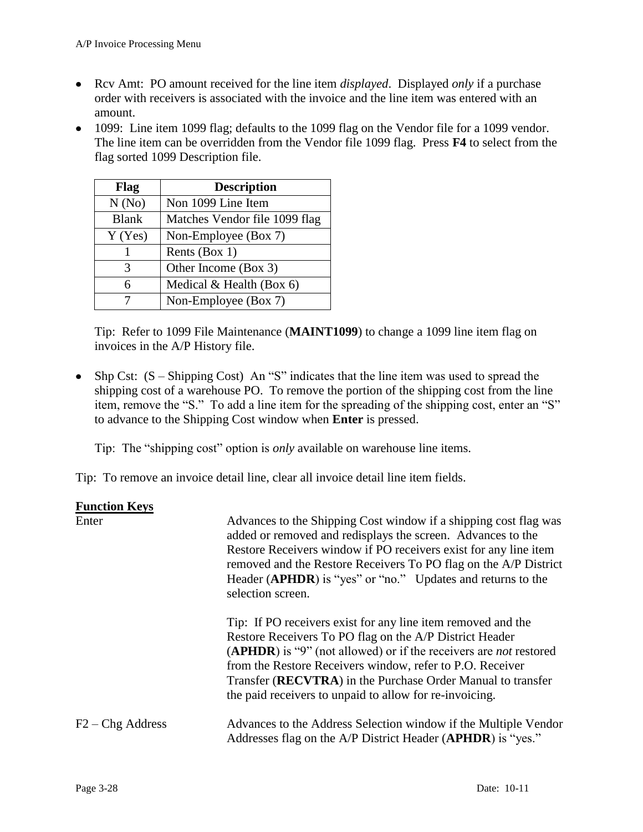- Rcv Amt: PO amount received for the line item *displayed*. Displayed *only* if a purchase order with receivers is associated with the invoice and the line item was entered with an amount.
- 1099: Line item 1099 flag; defaults to the 1099 flag on the Vendor file for a 1099 vendor. The line item can be overridden from the Vendor file 1099 flag. Press **F4** to select from the flag sorted 1099 Description file.

| Flag         | <b>Description</b>            |
|--------------|-------------------------------|
| N(No)        | Non 1099 Line Item            |
| <b>Blank</b> | Matches Vendor file 1099 flag |
| Y(Yes)       | Non-Employee (Box 7)          |
|              | Rents (Box 1)                 |
| 3            | Other Income (Box 3)          |
| 6            | Medical $&$ Health (Box 6)    |
|              | Non-Employee (Box 7)          |

Tip: Refer to 1099 File Maintenance (**MAINT1099**) to change a 1099 line item flag on invoices in the A/P History file.

• Shp Cst:  $(S - Shipping Cost)$  An "S" indicates that the line item was used to spread the shipping cost of a warehouse PO. To remove the portion of the shipping cost from the line item, remove the "S." To add a line item for the spreading of the shipping cost, enter an "S" to advance to the Shipping Cost window when **Enter** is pressed.

Tip: The "shipping cost" option is *only* available on warehouse line items.

Tip: To remove an invoice detail line, clear all invoice detail line item fields.

| <b>Function Keys</b> |                                                                                                                                                                                                                                                                                                                                                                                            |
|----------------------|--------------------------------------------------------------------------------------------------------------------------------------------------------------------------------------------------------------------------------------------------------------------------------------------------------------------------------------------------------------------------------------------|
| Enter                | Advances to the Shipping Cost window if a shipping cost flag was<br>added or removed and redisplays the screen. Advances to the<br>Restore Receivers window if PO receivers exist for any line item<br>removed and the Restore Receivers To PO flag on the A/P District<br>Header (APHDR) is "yes" or "no." Updates and returns to the<br>selection screen.                                |
|                      | Tip: If PO receivers exist for any line item removed and the<br>Restore Receivers To PO flag on the A/P District Header<br>(APHDR) is "9" (not allowed) or if the receivers are <i>not</i> restored<br>from the Restore Receivers window, refer to P.O. Receiver<br>Transfer (RECVTRA) in the Purchase Order Manual to transfer<br>the paid receivers to unpaid to allow for re-invoicing. |
| $F2 - Chg$ Address   | Advances to the Address Selection window if the Multiple Vendor<br>Addresses flag on the A/P District Header ( <b>APHDR</b> ) is "yes."                                                                                                                                                                                                                                                    |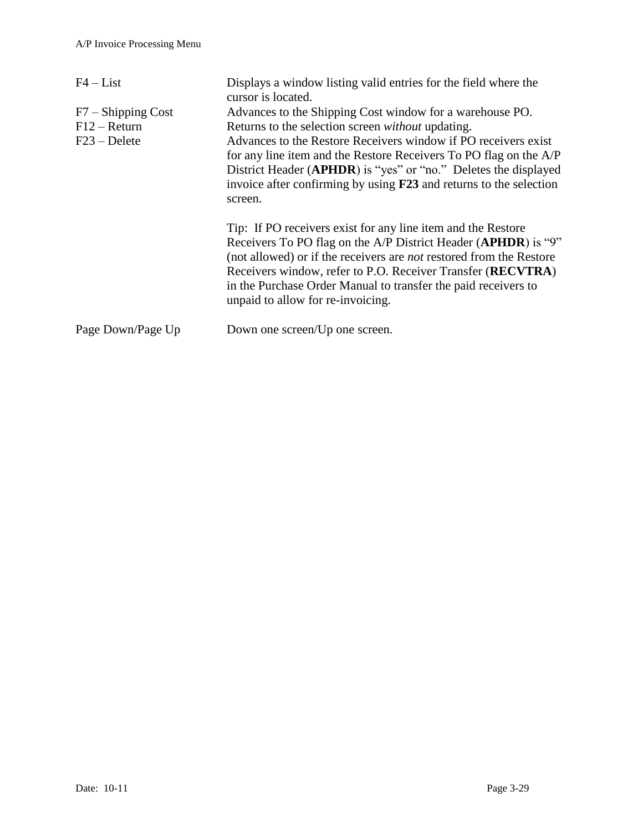| $F4 - List$                                              | Displays a window listing valid entries for the field where the<br>cursor is located.                                                                                                                                                                                                                                                                                                                                           |
|----------------------------------------------------------|---------------------------------------------------------------------------------------------------------------------------------------------------------------------------------------------------------------------------------------------------------------------------------------------------------------------------------------------------------------------------------------------------------------------------------|
| $F7 -$ Shipping Cost<br>$F12 - Return$<br>$F23 - Delete$ | Advances to the Shipping Cost window for a warehouse PO.<br>Returns to the selection screen <i>without</i> updating.<br>Advances to the Restore Receivers window if PO receivers exist<br>for any line item and the Restore Receivers To PO flag on the A/P<br>District Header ( <b>APHDR</b> ) is "yes" or "no." Deletes the displayed<br>invoice after confirming by using <b>F23</b> and returns to the selection<br>screen. |
|                                                          | Tip: If PO receivers exist for any line item and the Restore<br>Receivers To PO flag on the A/P District Header (APHDR) is "9"<br>(not allowed) or if the receivers are <i>not</i> restored from the Restore<br>Receivers window, refer to P.O. Receiver Transfer (RECVTRA)<br>in the Purchase Order Manual to transfer the paid receivers to<br>unpaid to allow for re-invoicing.                                              |
| Page Down/Page Up                                        | Down one screen/Up one screen.                                                                                                                                                                                                                                                                                                                                                                                                  |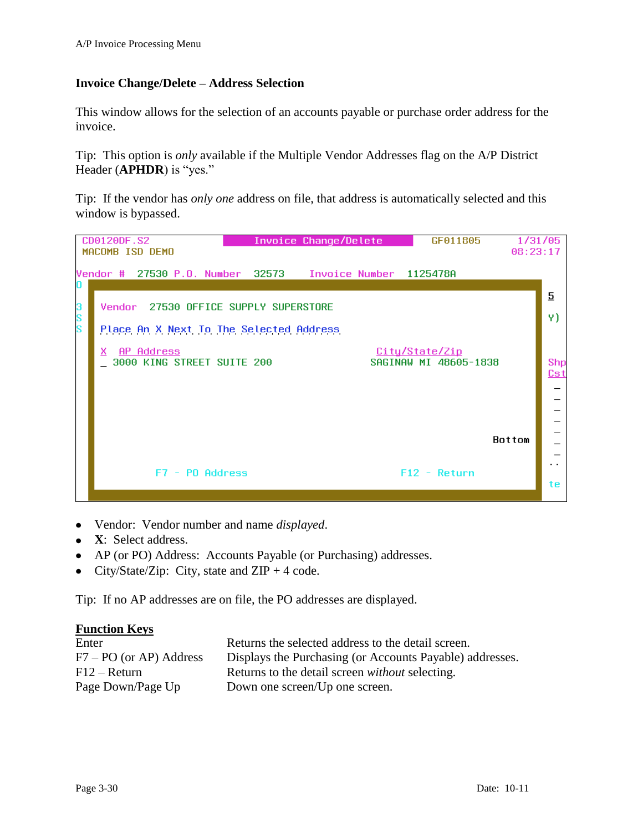## **Invoice Change/Delete – Address Selection**

This window allows for the selection of an accounts payable or purchase order address for the invoice.

Tip: This option is *only* available if the Multiple Vendor Addresses flag on the A/P District Header (**APHDR**) is "yes."

Tip: If the vendor has *only one* address on file, that address is automatically selected and this window is bypassed.



- Vendor: Vendor number and name *displayed*.  $\bullet$
- **X**: Select address.
- AP (or PO) Address: Accounts Payable (or Purchasing) addresses.
- City/State/Zip: City, state and  $ZIP + 4$  code.  $\bullet$

Tip: If no AP addresses are on file, the PO addresses are displayed.

| Enter                     | Returns the selected address to the detail screen.       |
|---------------------------|----------------------------------------------------------|
| $F7 - PO$ (or AP) Address | Displays the Purchasing (or Accounts Payable) addresses. |
| $F12 - Return$            | Returns to the detail screen <i>without</i> selecting.   |
| Page Down/Page Up         | Down one screen/Up one screen.                           |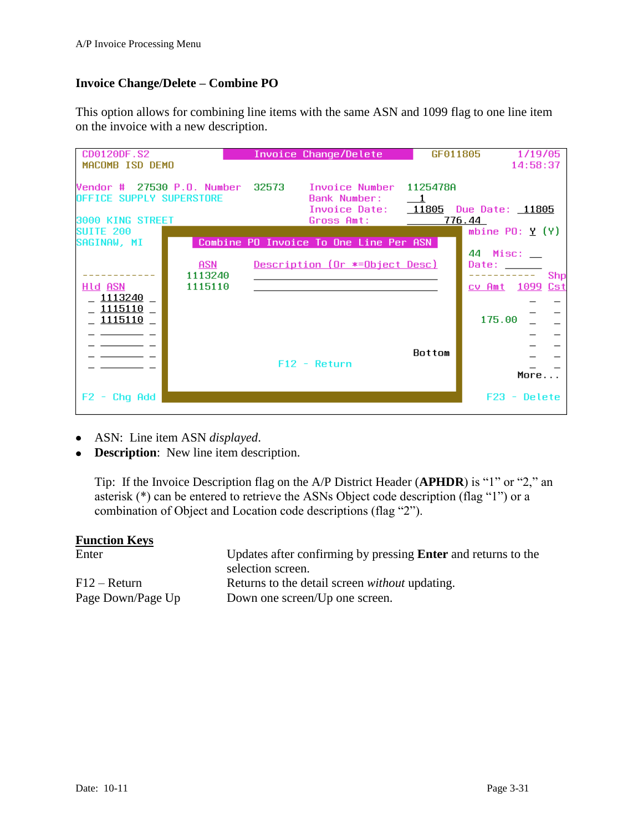## **Invoice Change/Delete – Combine PO**

This option allows for combining line items with the same ASN and 1099 flag to one line item on the invoice with a new description.

| CD0120DF.S2                              |                           | Invoice Change/Delete                                                    | GF011805                             | 1/19/05                                                                                                                                                                                                                                                                                          |
|------------------------------------------|---------------------------|--------------------------------------------------------------------------|--------------------------------------|--------------------------------------------------------------------------------------------------------------------------------------------------------------------------------------------------------------------------------------------------------------------------------------------------|
| MACOMB ISD DEMO                          |                           |                                                                          |                                      | 14:58:37                                                                                                                                                                                                                                                                                         |
| OFFICE SUPPLY SUPERSTORE                 |                           | Vendor # 27530 P.O. Number 32573 – Invoice Number<br><b>Bank Number:</b> | 1125478A<br>$\overline{\phantom{0}}$ | Invoice Date: 11805 Due Date: 11805                                                                                                                                                                                                                                                              |
| 3000 KING STREET                         |                           | Gross Amt:                                                               |                                      | 776.44                                                                                                                                                                                                                                                                                           |
| SUITE 200<br>SAGINAW, MI                 |                           | Combine PO Invoice To One Line Per ASN                                   |                                      | mbine $PO: Y(Y)$                                                                                                                                                                                                                                                                                 |
| HID ASN<br>1113240<br>1115110<br>1115110 | ASN<br>1113240<br>1115110 | Description (Or *=Object Desc)<br>$F12 - Return$                         | Bottom                               | 44 Misc:<br>Date: the contract of the contract of the contract of the contract of the contract of the contract of the contract of the contract of the contract of the contract of the contract of the contract of the contract of the cont<br>Shp<br>Cst<br><u>cv Amt 1099</u><br>175.00<br>More |
| Chg Add<br>$F2 -$                        |                           |                                                                          |                                      | $F23 - Delete$                                                                                                                                                                                                                                                                                   |
|                                          |                           |                                                                          |                                      |                                                                                                                                                                                                                                                                                                  |

- ASN: Line item ASN *displayed*.
- **Description**: New line item description.

Tip: If the Invoice Description flag on the A/P District Header (**APHDR**) is "1" or "2," an asterisk (\*) can be entered to retrieve the ASNs Object code description (flag "1") or a combination of Object and Location code descriptions (flag "2").

| Enter             | Updates after confirming by pressing <b>Enter</b> and returns to the |
|-------------------|----------------------------------------------------------------------|
|                   | selection screen.                                                    |
| $F12 - Return$    | Returns to the detail screen <i>without</i> updating.                |
| Page Down/Page Up | Down one screen/Up one screen.                                       |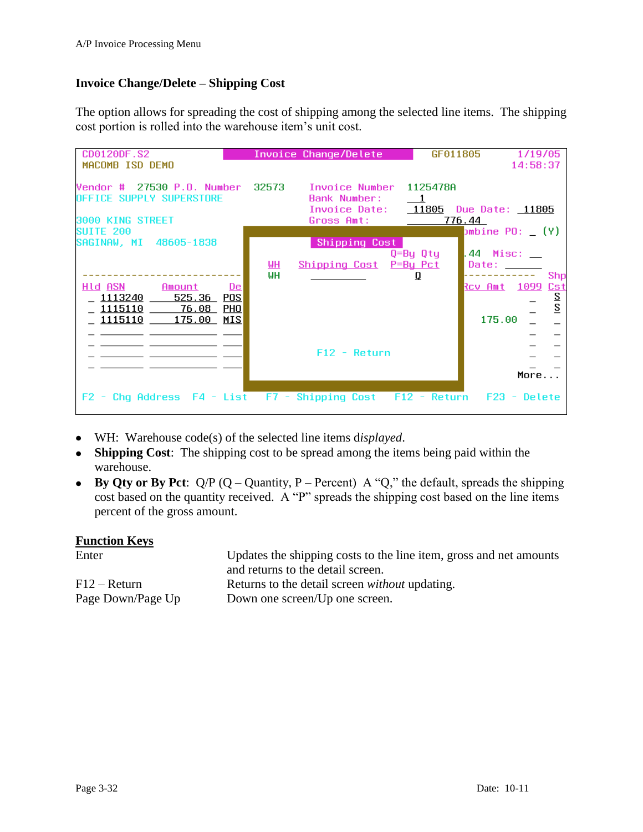## **Invoice Change/Delete – Shipping Cost**

The option allows for spreading the cost of shipping among the selected line items. The shipping cost portion is rolled into the warehouse item's unit cost.

| CD0120DF.S2                                                                                                                                           |                        | Invoice Change/Delete                   | GF011805      | 1/19/05                                                                                                                                                                                                                                                                                                            |
|-------------------------------------------------------------------------------------------------------------------------------------------------------|------------------------|-----------------------------------------|---------------|--------------------------------------------------------------------------------------------------------------------------------------------------------------------------------------------------------------------------------------------------------------------------------------------------------------------|
| MACOMB ISD DEMO                                                                                                                                       |                        |                                         |               | 14:58:37                                                                                                                                                                                                                                                                                                           |
| Vendor # 27530 P.O. Number 32573 - Invoice Number 1125478A<br>OFFICE SUPPLY SUPERSTORE<br>3000 KING STREET                                            |                        | Bank Number:<br>Gross Amt:              | $\mathbf{1}$  | Invoice Date: 11805 Due Date: 11805<br>776.44                                                                                                                                                                                                                                                                      |
| <b>SUITE 200</b>                                                                                                                                      |                        |                                         |               | $b$ mbine PO: $(Y)$                                                                                                                                                                                                                                                                                                |
| SAGINAW, MI 48605-1838<br>Hld ASN <b>Album</b><br>Amount<br><u>De</u><br>POS<br>1113240<br>525.36<br>1115110 76.08<br>PHO<br>MIS<br>1115110<br>175.00 | <u>ын</u><br><b>WH</b> | Shipping Cost<br>Shipping Cost P=By Pct | Q=By Qty<br>Q | $.44$ Misc: $\_\_$<br>Date: the control of the control of the control of the control of the control of the control of the control of the control of the control of the control of the control of the control of the control of the control of the co<br>Shp<br><u>Rov Amt 1099</u><br>Cst<br>$rac{S}{S}$<br>175.00 |
|                                                                                                                                                       |                        | $F12 - Return$                          |               | More                                                                                                                                                                                                                                                                                                               |
| F2 - Chq Address F4 - List F7 - Shipping Cost F12 - Return                                                                                            |                        |                                         |               | F23 - Delete                                                                                                                                                                                                                                                                                                       |

- WH: Warehouse code(s) of the selected line items d*isplayed*.
- **Shipping Cost**: The shipping cost to be spread among the items being paid within the warehouse.
- **By Qty or By Pct**:  $Q/P$  ( $Q -$ Quantity, P Percent) A "Q," the default, spreads the shipping cost based on the quantity received. A "P" spreads the shipping cost based on the line items percent of the gross amount.

| <b>Function Keys</b> |                                                                    |
|----------------------|--------------------------------------------------------------------|
| Enter                | Updates the shipping costs to the line item, gross and net amounts |
|                      | and returns to the detail screen.                                  |
| $F12 - Return$       | Returns to the detail screen <i>without</i> updating.              |
| Page Down/Page Up    | Down one screen/Up one screen.                                     |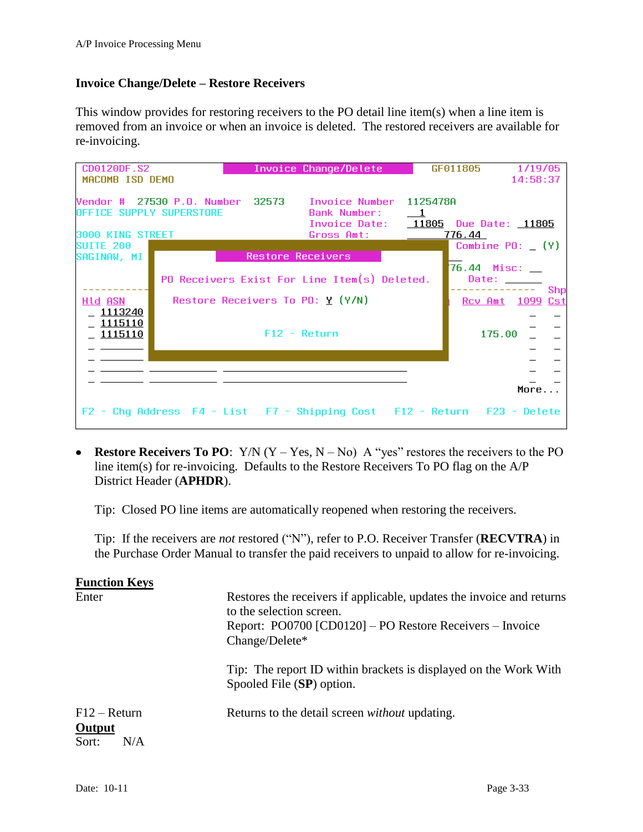#### **Invoice Change/Delete – Restore Receivers**

This window provides for restoring receivers to the PO detail line item(s) when a line item is removed from an invoice or when an invoice is deleted. The restored receivers are available for re-invoicing.

| CD0120DF.S2                                         |                                   | Invoice Change/Delete                                                                                                         |                            | GF011805                   | 1/19/05  |     |
|-----------------------------------------------------|-----------------------------------|-------------------------------------------------------------------------------------------------------------------------------|----------------------------|----------------------------|----------|-----|
| MACOMB ISD DEMO                                     |                                   |                                                                                                                               |                            |                            | 14:58:37 |     |
| <b>OFFICE SUPPLY SUPERSTORE</b><br>3000 KING STREET |                                   | Vendor # 27530 P.O. Number 32573 Invoice Number 1125478A<br>Bank Number:<br>Invoice Date: 11805 Due Date: 11805<br>Gross Amt: | $\overline{\phantom{0}}$ 1 | 776.44                     |          |     |
| SUITE 200                                           |                                   |                                                                                                                               |                            | Combine $PO: (Y)$          |          |     |
| SAGINAW, MI                                         |                                   | <b>Restore Receivers</b><br>PO Receivers Exist For Line Item(s) Deleted.                                                      |                            | 76.44 Misc: __<br>Date:    |          | Shp |
| HID ASN<br>1113240<br>1115110<br>1115110            | Restore Receivers To PO: $Y(Y/N)$ | $F12 - Return$                                                                                                                |                            | Rcy Amt 1099 Cst<br>175.00 |          |     |
|                                                     |                                   |                                                                                                                               |                            |                            | More     |     |
|                                                     |                                   | F2 - Chq Address F4 - List F7 - Shipping Cost F12 - Return F23 - Delete                                                       |                            |                            |          |     |

**• Restore Receivers To PO:**  $Y/N$  ( $Y - Yes$ ,  $N - No$ ) A "yes" restores the receivers to the PO line item(s) for re-invoicing. Defaults to the Restore Receivers To PO flag on the A/P District Header (**APHDR**).

Tip: Closed PO line items are automatically reopened when restoring the receivers.

Tip: If the receivers are *not* restored ("N"), refer to P.O. Receiver Transfer (**RECVTRA**) in the Purchase Order Manual to transfer the paid receivers to unpaid to allow for re-invoicing.

| <b>Function Keys</b>                            |                                                                                                                                                                                 |
|-------------------------------------------------|---------------------------------------------------------------------------------------------------------------------------------------------------------------------------------|
| Enter                                           | Restores the receivers if applicable, updates the invoice and returns<br>to the selection screen.<br>Report: PO0700 [CD0120] – PO Restore Receivers – Invoice<br>Change/Delete* |
|                                                 | Tip: The report ID within brackets is displayed on the Work With<br>Spooled File (SP) option.                                                                                   |
| $F12 - Return$<br><b>Output</b><br>N/A<br>Sort: | Returns to the detail screen <i>without</i> updating.                                                                                                                           |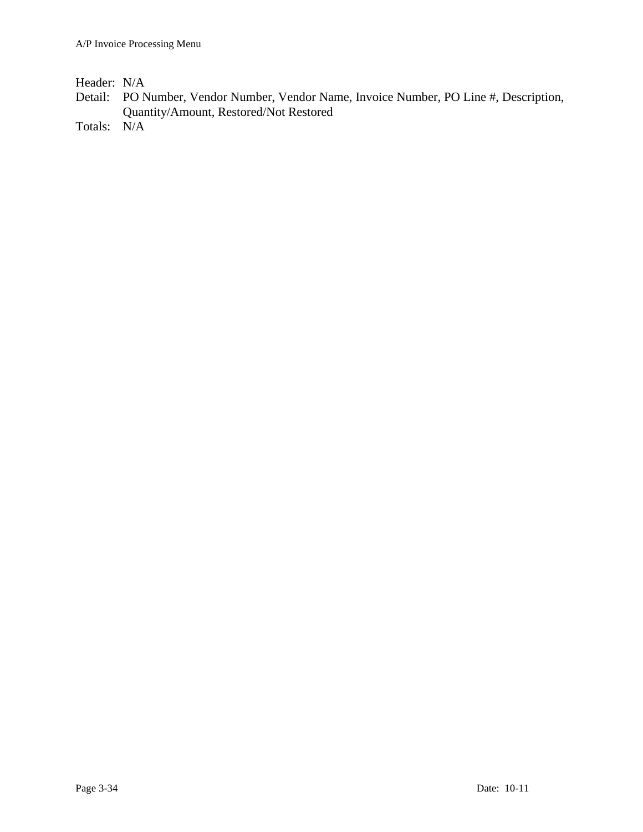Header: N/A

- Detail: PO Number, Vendor Number, Vendor Name, Invoice Number, PO Line #, Description, Quantity/Amount, Restored/Not Restored
- Totals: N/A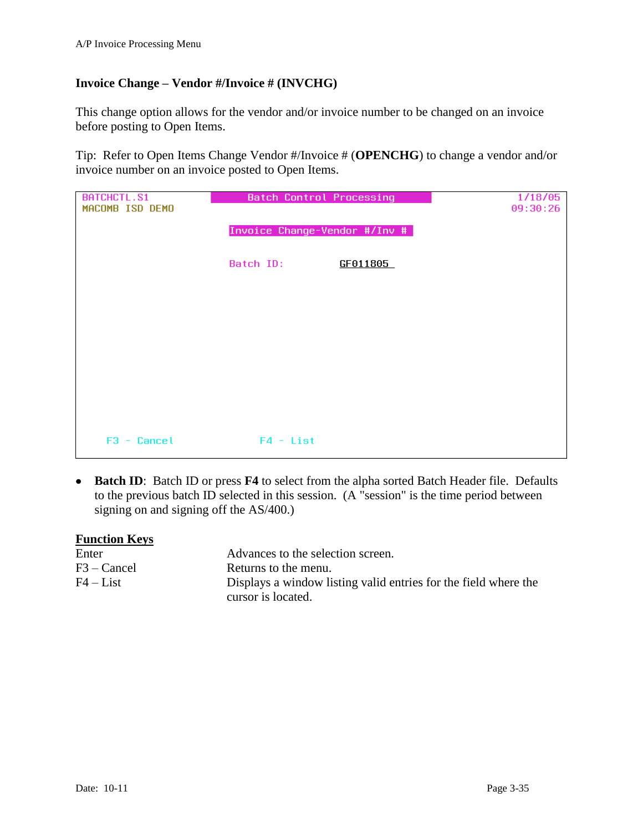## <span id="page-34-0"></span>**Invoice Change – Vendor #/Invoice # (INVCHG)**

This change option allows for the vendor and/or invoice number to be changed on an invoice before posting to Open Items.

Tip: Refer to Open Items Change Vendor #/Invoice # (**OPENCHG**) to change a vendor and/or invoice number on an invoice posted to Open Items.

| BATCHCTL.S1<br>MACOMB ISD DEMO | <b>Batch Control Processing</b> |          | 1/18/05<br>09:30:26 |
|--------------------------------|---------------------------------|----------|---------------------|
|                                | Invoice Change-Vendor #/Inv #   |          |                     |
|                                | Batch ID:                       | GF011805 |                     |
|                                |                                 |          |                     |
|                                |                                 |          |                     |
|                                |                                 |          |                     |
|                                |                                 |          |                     |
|                                |                                 |          |                     |
| $F3 - Cancel$                  | $F4 - List$                     |          |                     |

**Batch ID**: Batch ID or press **F4** to select from the alpha sorted Batch Header file. Defaults to the previous batch ID selected in this session. (A "session" is the time period between signing on and signing off the AS/400.)

| <b>Function Keys</b> |                                                                 |
|----------------------|-----------------------------------------------------------------|
| Enter                | Advances to the selection screen.                               |
| $F3 - C$ ancel       | Returns to the menu.                                            |
| $F4 - List$          | Displays a window listing valid entries for the field where the |
|                      | cursor is located.                                              |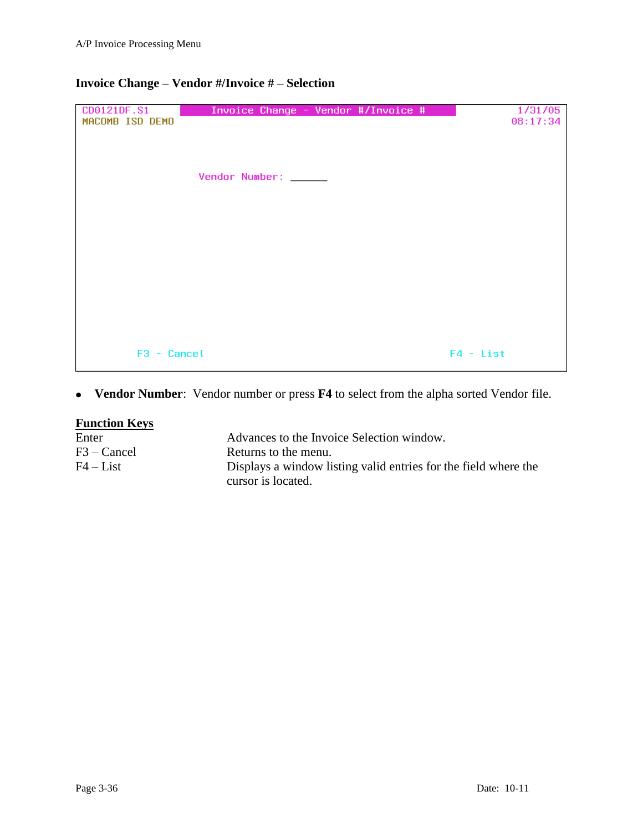## **Invoice Change – Vendor #/Invoice # – Selection**

| CD0121DF.S1<br>MACOMB ISD DEMO | Invoice Change - Vendor #/Invoice # | 1/31/05<br>08:17:34 |
|--------------------------------|-------------------------------------|---------------------|
|                                |                                     |                     |
|                                | Vendor Number: _____                |                     |
|                                |                                     |                     |
|                                |                                     |                     |
|                                |                                     |                     |
|                                |                                     |                     |
| $F3 - Cancel$                  |                                     | $F4 - List$         |

## **Vendor Number**: Vendor number or press **F4** to select from the alpha sorted Vendor file.

| <b>Function Keys</b> |                                                                 |
|----------------------|-----------------------------------------------------------------|
| Enter                | Advances to the Invoice Selection window.                       |
| $F3 - C$ ancel       | Returns to the menu.                                            |
| $F4 - List$          | Displays a window listing valid entries for the field where the |
|                      | cursor is located.                                              |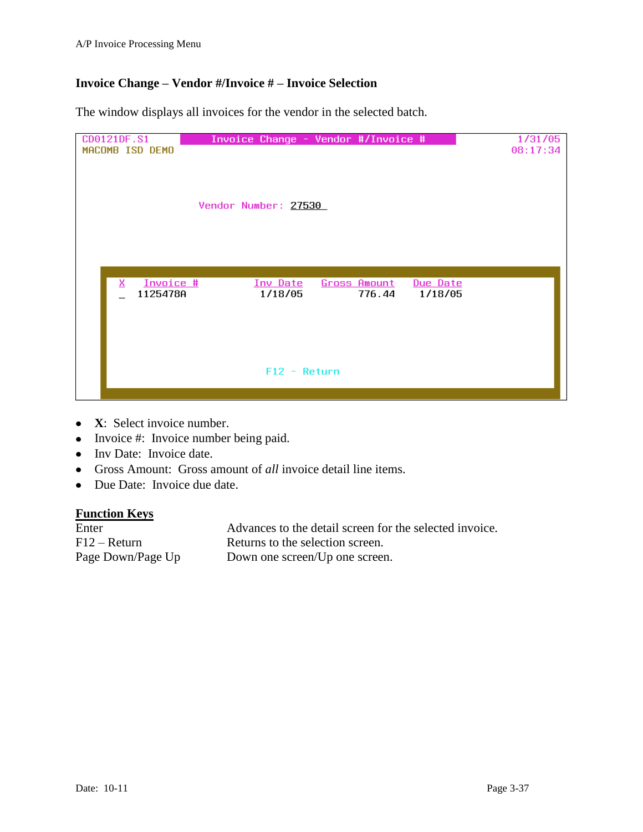## **Invoice Change – Vendor #/Invoice # – Invoice Selection**

The window displays all invoices for the vendor in the selected batch.

| CD0121DF.S1<br>MACOMB ISD DEMO | Invoice Change - Vendor #/Invoice # |                     |          | 1/31/05<br>08:17:34 |
|--------------------------------|-------------------------------------|---------------------|----------|---------------------|
|                                |                                     |                     |          |                     |
|                                |                                     |                     |          |                     |
|                                | Vendor Number: 27530                |                     |          |                     |
|                                |                                     |                     |          |                     |
|                                |                                     |                     |          |                     |
|                                |                                     |                     |          |                     |
| Invoice #<br>x                 | Inv Date                            | <u>Gross Amount</u> | Due Date |                     |
| 1125478A                       | 1/18/05                             | 776.44              | 1/18/05  |                     |
|                                |                                     |                     |          |                     |
|                                |                                     |                     |          |                     |
|                                |                                     |                     |          |                     |
|                                | $F12 - Return$                      |                     |          |                     |
|                                |                                     |                     |          |                     |

- **X**: Select invoice number.
- Invoice #: Invoice number being paid.
- Inv Date: Invoice date.
- Gross Amount: Gross amount of *all* invoice detail line items.
- Due Date: Invoice due date.

| Enter             | Advances to the detail screen for the selected invoice. |
|-------------------|---------------------------------------------------------|
| $F12 - Return$    | Returns to the selection screen.                        |
| Page Down/Page Up | Down one screen/Up one screen.                          |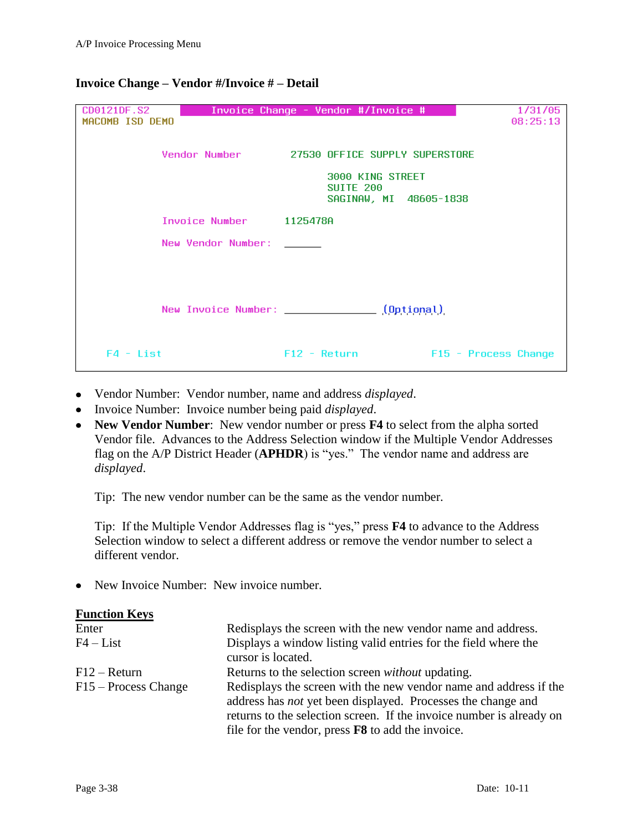| CD0121DF.S2<br>MACOMB ISD DEMO | Invoice Change - Vendor #/Invoice #                            | 1/31/05<br>08:25:13  |
|--------------------------------|----------------------------------------------------------------|----------------------|
|                                | Vendor Number 27530 OFFICE SUPPLY SUPERSTORE                   |                      |
|                                | 3000 KING STREET<br><b>SUITE 200</b><br>SAGINAW, MI 48605-1838 |                      |
|                                | Invoice Number 1125478A                                        |                      |
| New Vendor Number:             |                                                                |                      |
|                                |                                                                |                      |
|                                | New Invoice Number: (Optional)                                 |                      |
| $F4 - List$                    | $F12 - Return$                                                 | F15 - Process Change |

### **Invoice Change – Vendor #/Invoice # – Detail**

- Vendor Number: Vendor number, name and address *displayed*.
- Invoice Number: Invoice number being paid *displayed*.
- **New Vendor Number**: New vendor number or press **F4** to select from the alpha sorted Vendor file. Advances to the Address Selection window if the Multiple Vendor Addresses flag on the A/P District Header (**APHDR**) is "yes." The vendor name and address are *displayed*.

Tip: The new vendor number can be the same as the vendor number.

Tip: If the Multiple Vendor Addresses flag is "yes," press **F4** to advance to the Address Selection window to select a different address or remove the vendor number to select a different vendor.

• New Invoice Number: New invoice number.

| <b>Function Keys</b>   |                                                                                                                                                                                                                                                                              |  |
|------------------------|------------------------------------------------------------------------------------------------------------------------------------------------------------------------------------------------------------------------------------------------------------------------------|--|
| Enter                  | Redisplays the screen with the new vendor name and address.                                                                                                                                                                                                                  |  |
| $F4 - List$            | Displays a window listing valid entries for the field where the<br>cursor is located.                                                                                                                                                                                        |  |
| $F12 - Return$         | Returns to the selection screen <i>without</i> updating.                                                                                                                                                                                                                     |  |
| $F15 - Process Change$ | Redisplays the screen with the new vendor name and address if the<br>address has <i>not</i> yet been displayed. Processes the change and<br>returns to the selection screen. If the invoice number is already on<br>file for the vendor, press <b>F8</b> to add the invoice. |  |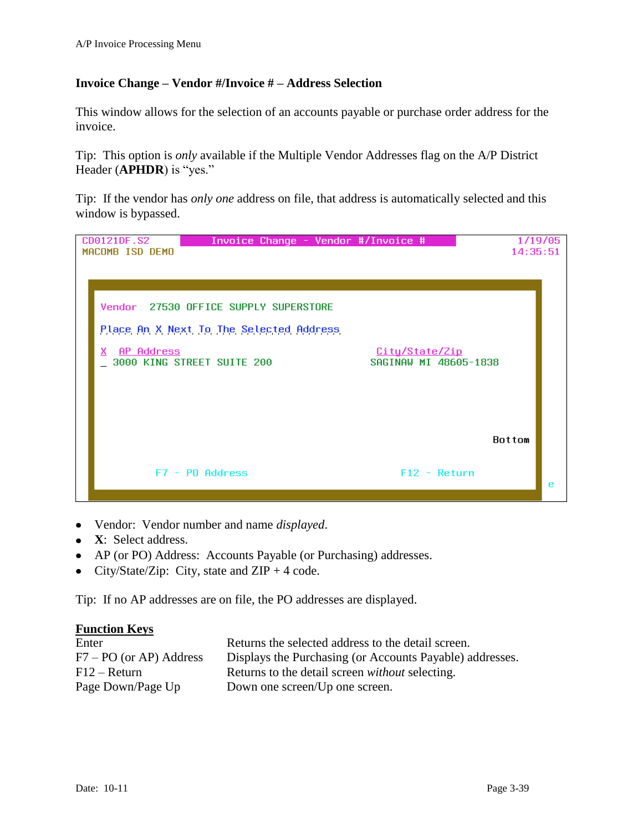## **Invoice Change – Vendor #/Invoice # – Address Selection**

This window allows for the selection of an accounts payable or purchase order address for the invoice.

Tip: This option is *only* available if the Multiple Vendor Addresses flag on the A/P District Header (**APHDR**) is "yes."

Tip: If the vendor has *only one* address on file, that address is automatically selected and this window is bypassed.



- Vendor: Vendor number and name *displayed*.
- **X**: Select address.
- AP (or PO) Address: Accounts Payable (or Purchasing) addresses.  $\bullet$
- City/State/Zip: City, state and  $ZIP + 4$  code.  $\bullet$

Tip: If no AP addresses are on file, the PO addresses are displayed.

| Enter                     | Returns the selected address to the detail screen.       |
|---------------------------|----------------------------------------------------------|
| $F7 - PO$ (or AP) Address | Displays the Purchasing (or Accounts Payable) addresses. |
| $F12 - Return$            | Returns to the detail screen <i>without</i> selecting.   |
| Page Down/Page Up         | Down one screen/Up one screen.                           |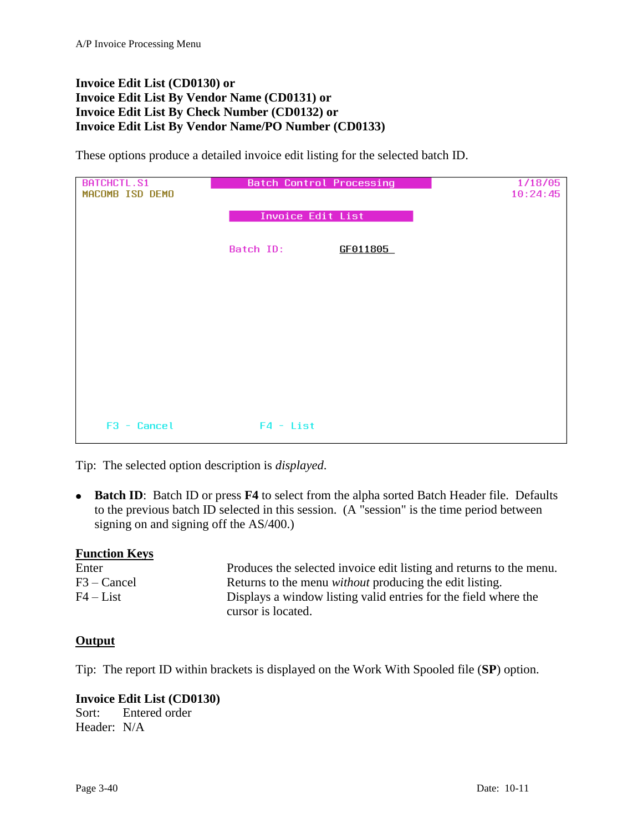## <span id="page-39-2"></span><span id="page-39-1"></span><span id="page-39-0"></span>**Invoice Edit List (CD0130) or Invoice Edit List By Vendor Name (CD0131) or Invoice Edit List By Check Number (CD0132) or Invoice Edit List By Vendor Name/PO Number (CD0133)**

<span id="page-39-3"></span>These options produce a detailed invoice edit listing for the selected batch ID.

| BATCHCTL.S1<br>MACOMB ISD DEMO | <b>Batch Control Processing</b> | 1/18/05<br>10:24:45 |
|--------------------------------|---------------------------------|---------------------|
|                                | <b>Invoice Edit List</b>        |                     |
|                                | Batch ID:<br>GF011805           |                     |
|                                |                                 |                     |
|                                |                                 |                     |
|                                |                                 |                     |
|                                |                                 |                     |
|                                |                                 |                     |
| F3 - Cancel                    | $F4 - List$                     |                     |

Tip: The selected option description is *displayed*.

**Batch ID**: Batch ID or press **F4** to select from the alpha sorted Batch Header file. Defaults to the previous batch ID selected in this session. (A "session" is the time period between signing on and signing off the AS/400.)

### **Function Keys**

| Enter          | Produces the selected invoice edit listing and returns to the menu. |
|----------------|---------------------------------------------------------------------|
| $F3 - C$ ancel | Returns to the menu <i>without</i> producing the edit listing.      |
| $F4 - List$    | Displays a window listing valid entries for the field where the     |
|                | cursor is located.                                                  |

### **Output**

Tip: The report ID within brackets is displayed on the Work With Spooled file (**SP**) option.

### **Invoice Edit List (CD0130)**

Sort: Entered order Header: N/A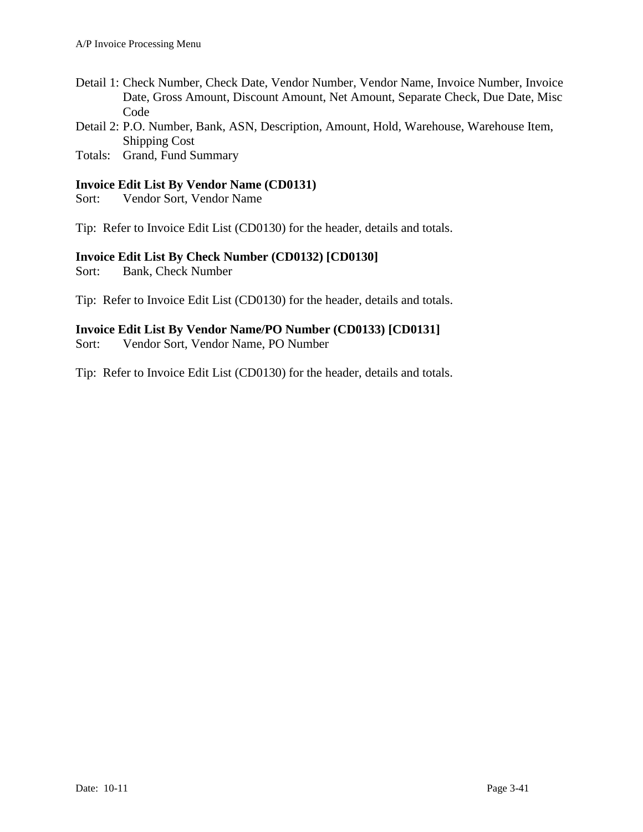- Detail 1: Check Number, Check Date, Vendor Number, Vendor Name, Invoice Number, Invoice Date, Gross Amount, Discount Amount, Net Amount, Separate Check, Due Date, Misc Code
- Detail 2: P.O. Number, Bank, ASN, Description, Amount, Hold, Warehouse, Warehouse Item, Shipping Cost
- Totals: Grand, Fund Summary

## **Invoice Edit List By Vendor Name (CD0131)**

Sort: Vendor Sort, Vendor Name

Tip: Refer to Invoice Edit List (CD0130) for the header, details and totals.

## **Invoice Edit List By Check Number (CD0132) [CD0130]**

Sort: Bank, Check Number

Tip: Refer to Invoice Edit List (CD0130) for the header, details and totals.

### **Invoice Edit List By Vendor Name/PO Number (CD0133) [CD0131]**

Sort: Vendor Sort, Vendor Name, PO Number

Tip: Refer to Invoice Edit List (CD0130) for the header, details and totals.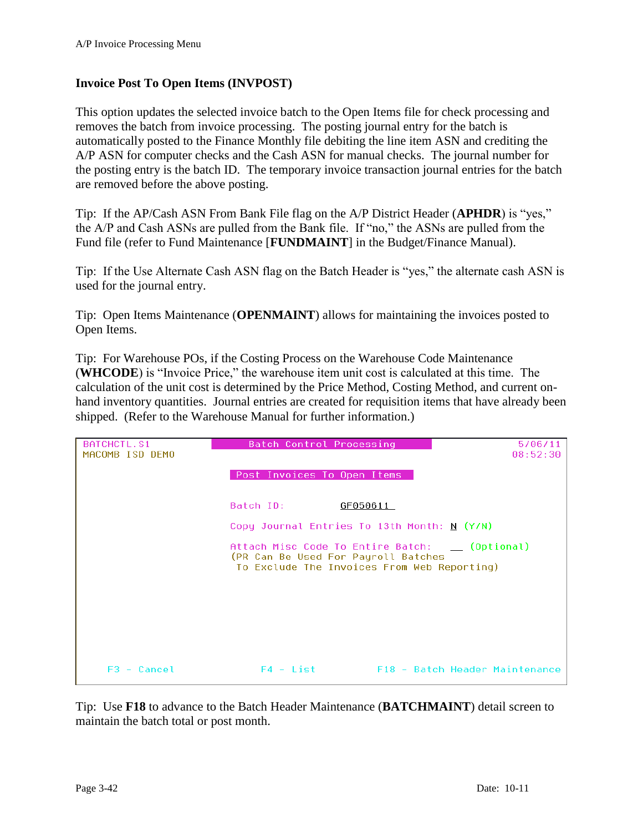### <span id="page-41-0"></span>**Invoice Post To Open Items (INVPOST)**

This option updates the selected invoice batch to the Open Items file for check processing and removes the batch from invoice processing. The posting journal entry for the batch is automatically posted to the Finance Monthly file debiting the line item ASN and crediting the A/P ASN for computer checks and the Cash ASN for manual checks. The journal number for the posting entry is the batch ID. The temporary invoice transaction journal entries for the batch are removed before the above posting.

Tip: If the AP/Cash ASN From Bank File flag on the A/P District Header (**APHDR**) is "yes," the A/P and Cash ASNs are pulled from the Bank file. If "no," the ASNs are pulled from the Fund file (refer to Fund Maintenance [**FUNDMAINT**] in the Budget/Finance Manual).

Tip: If the Use Alternate Cash ASN flag on the Batch Header is "yes," the alternate cash ASN is used for the journal entry.

Tip: Open Items Maintenance (**OPENMAINT**) allows for maintaining the invoices posted to Open Items.

Tip: For Warehouse POs, if the Costing Process on the Warehouse Code Maintenance (**WHCODE**) is "Invoice Price," the warehouse item unit cost is calculated at this time. The calculation of the unit cost is determined by the Price Method, Costing Method, and current onhand inventory quantities. Journal entries are created for requisition items that have already been shipped. (Refer to the Warehouse Manual for further information.)

| BATCHCTL.S1     | Batch Control Processing                                                                                                              | 5/06/11                        |
|-----------------|---------------------------------------------------------------------------------------------------------------------------------------|--------------------------------|
| MACOMB ISD DEMO |                                                                                                                                       | 08:52:30                       |
|                 |                                                                                                                                       |                                |
|                 | Post Invoices To Open Items                                                                                                           |                                |
|                 |                                                                                                                                       |                                |
|                 | Batch ID:<br>GF050611                                                                                                                 |                                |
|                 | Copy Journal Entries To 13th Month: N (Y/N)                                                                                           |                                |
|                 | Attach Misc Code To Entire Batch: __ (Optional)<br>(PR Can Be Used For Payroll Batches<br>To Exclude The Invoices From Web Reporting) |                                |
|                 |                                                                                                                                       |                                |
|                 |                                                                                                                                       |                                |
|                 |                                                                                                                                       |                                |
| $F3 - Cancel$   | $F4 - List$                                                                                                                           | F18 - Batch Header Maintenance |

Tip: Use **F18** to advance to the Batch Header Maintenance (**BATCHMAINT**) detail screen to maintain the batch total or post month.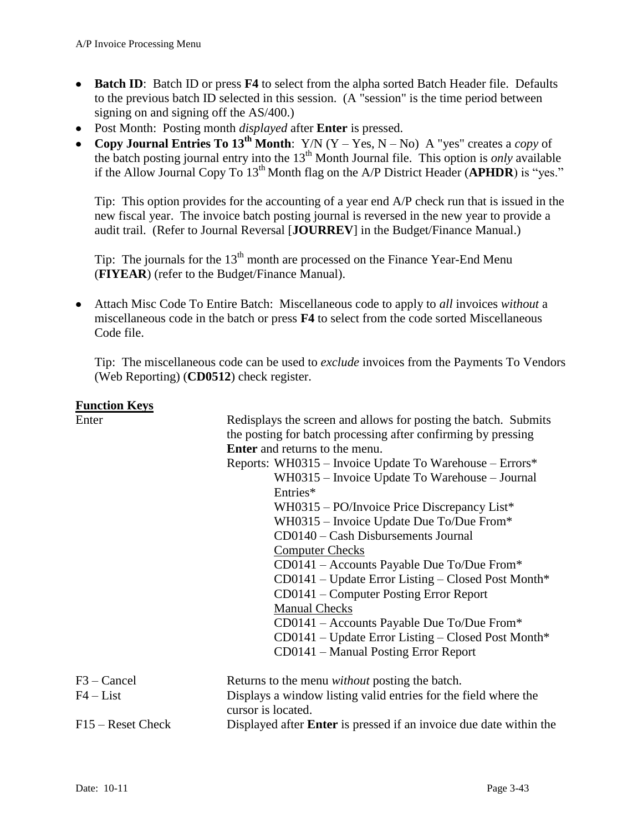- Batch ID: Batch ID or press **F4** to select from the alpha sorted Batch Header file. Defaults to the previous batch ID selected in this session. (A "session" is the time period between signing on and signing off the AS/400.)
- Post Month: Posting month *displayed* after **Enter** is pressed.  $\bullet$
- Copy Journal Entries To 13<sup>th</sup> Month: Y/N (Y Yes, N No) A "yes" creates a *copy* of the batch posting journal entry into the 13<sup>th</sup> Month Journal file. This option is *only* available if the Allow Journal Copy To 13th Month flag on the A/P District Header (**APHDR**) is "yes."

Tip: This option provides for the accounting of a year end A/P check run that is issued in the new fiscal year. The invoice batch posting journal is reversed in the new year to provide a audit trail. (Refer to Journal Reversal [**JOURREV**] in the Budget/Finance Manual.)

Tip: The journals for the  $13<sup>th</sup>$  month are processed on the Finance Year-End Menu (**FIYEAR**) (refer to the Budget/Finance Manual).

Attach Misc Code To Entire Batch: Miscellaneous code to apply to *all* invoices *without* a miscellaneous code in the batch or press **F4** to select from the code sorted Miscellaneous Code file.

Tip: The miscellaneous code can be used to *exclude* invoices from the Payments To Vendors (Web Reporting) (**CD0512**) check register.

| Enter               | Redisplays the screen and allows for posting the batch. Submits<br>the posting for batch processing after confirming by pressing<br><b>Enter</b> and returns to the menu.<br>Reports: WH0315 – Invoice Update To Warehouse – Errors*<br>WH0315 - Invoice Update To Warehouse - Journal<br>Entries*<br>WH0315 – PO/Invoice Price Discrepancy List*<br>WH0315 – Invoice Update Due To/Due From*<br>CD0140 – Cash Disbursements Journal<br><b>Computer Checks</b><br>CD0141 – Accounts Payable Due To/Due From*<br>CD0141 - Update Error Listing - Closed Post Month*<br>CD0141 – Computer Posting Error Report<br><b>Manual Checks</b><br>CD0141 – Accounts Payable Due To/Due From* |
|---------------------|------------------------------------------------------------------------------------------------------------------------------------------------------------------------------------------------------------------------------------------------------------------------------------------------------------------------------------------------------------------------------------------------------------------------------------------------------------------------------------------------------------------------------------------------------------------------------------------------------------------------------------------------------------------------------------|
|                     | $CD0141 - Update Error Listing - Closed Post Month*$<br>CD0141 – Manual Posting Error Report                                                                                                                                                                                                                                                                                                                                                                                                                                                                                                                                                                                       |
| $F3 - C$ ancel      | Returns to the menu <i>without</i> posting the batch.                                                                                                                                                                                                                                                                                                                                                                                                                                                                                                                                                                                                                              |
| $F4 - List$         | Displays a window listing valid entries for the field where the<br>cursor is located.                                                                                                                                                                                                                                                                                                                                                                                                                                                                                                                                                                                              |
| $F15 -$ Reset Check | Displayed after <b>Enter</b> is pressed if an invoice due date within the                                                                                                                                                                                                                                                                                                                                                                                                                                                                                                                                                                                                          |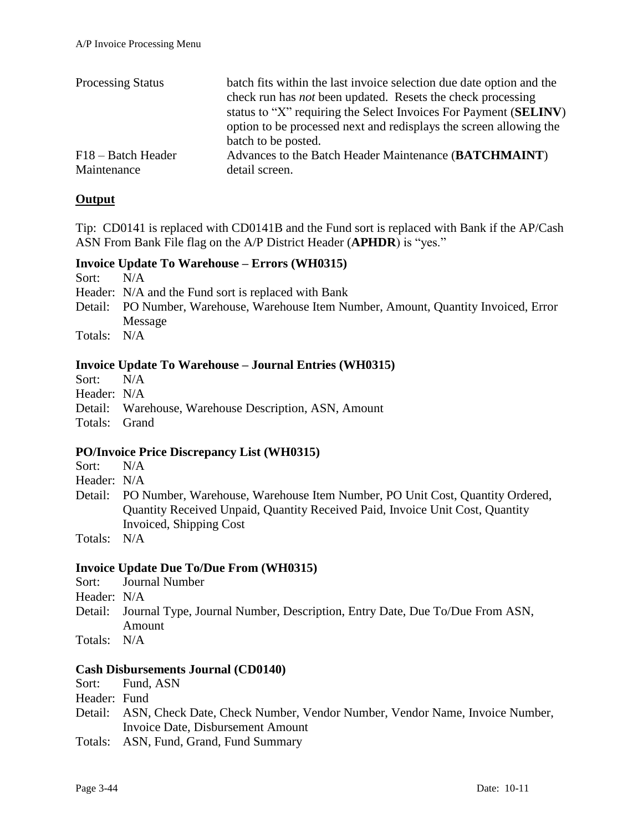| <b>Processing Status</b> | batch fits within the last invoice selection due date option and the<br>check run has <i>not</i> been updated. Resets the check processing<br>status to "X" requiring the Select Invoices For Payment (SELINV)<br>option to be processed next and redisplays the screen allowing the<br>batch to be posted. |
|--------------------------|-------------------------------------------------------------------------------------------------------------------------------------------------------------------------------------------------------------------------------------------------------------------------------------------------------------|
| F18 – Batch Header       | Advances to the Batch Header Maintenance (BATCHMAINT)                                                                                                                                                                                                                                                       |
| Maintenance              | detail screen.                                                                                                                                                                                                                                                                                              |

## **Output**

Tip: CD0141 is replaced with CD0141B and the Fund sort is replaced with Bank if the AP/Cash ASN From Bank File flag on the A/P District Header (**APHDR**) is "yes."

## **Invoice Update To Warehouse – Errors (WH0315)**

Sort: N/A

- Header: N/A and the Fund sort is replaced with Bank
- Detail: PO Number, Warehouse, Warehouse Item Number, Amount, Quantity Invoiced, Error Message
- Totals: N/A

## **Invoice Update To Warehouse – Journal Entries (WH0315)**

Sort: N/A

- Header: N/A
- Detail: Warehouse, Warehouse Description, ASN, Amount

Totals: Grand

## **PO/Invoice Price Discrepancy List (WH0315)**

Sort: N/A

- Header: N/A
- Detail: PO Number, Warehouse, Warehouse Item Number, PO Unit Cost, Quantity Ordered, Quantity Received Unpaid, Quantity Received Paid, Invoice Unit Cost, Quantity Invoiced, Shipping Cost

Totals: N/A

### **Invoice Update Due To/Due From (WH0315)**

- Sort: Journal Number
- Header: N/A
- Detail: Journal Type, Journal Number, Description, Entry Date, Due To/Due From ASN, Amount
- Totals: N/A

### **Cash Disbursements Journal (CD0140)**

Sort: Fund, ASN

Header: Fund

- Detail: ASN, Check Date, Check Number, Vendor Number, Vendor Name, Invoice Number, Invoice Date, Disbursement Amount
- Totals: ASN, Fund, Grand, Fund Summary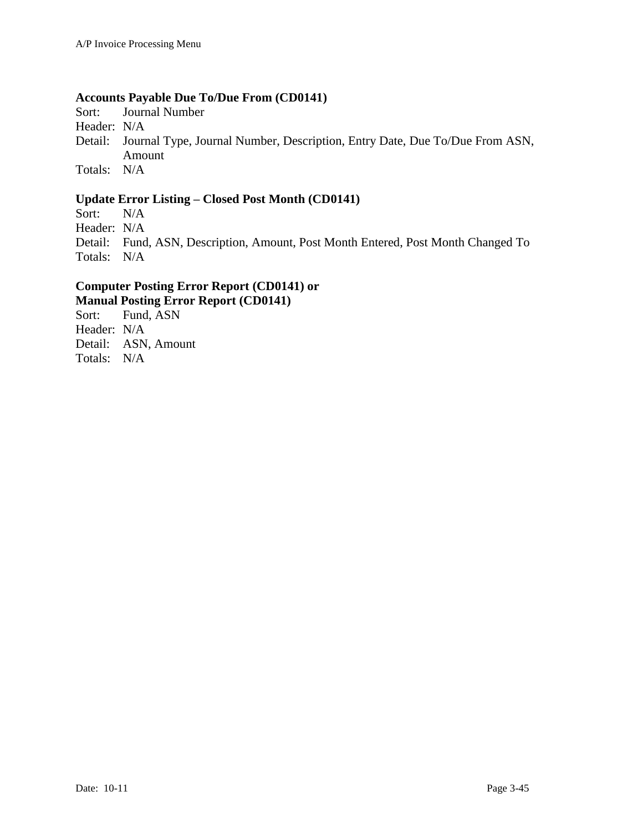## **Accounts Payable Due To/Due From (CD0141)**

Sort: Journal Number

Header: N/A

Detail: Journal Type, Journal Number, Description, Entry Date, Due To/Due From ASN, Amount

Totals: N/A

## **Update Error Listing – Closed Post Month (CD0141)**

Sort: N/A

Header: N/A

Detail: Fund, ASN, Description, Amount, Post Month Entered, Post Month Changed To Totals: N/A

## **Computer Posting Error Report (CD0141) or Manual Posting Error Report (CD0141)**

Sort: Fund, ASN Header: N/A Detail: ASN, Amount Totals: N/A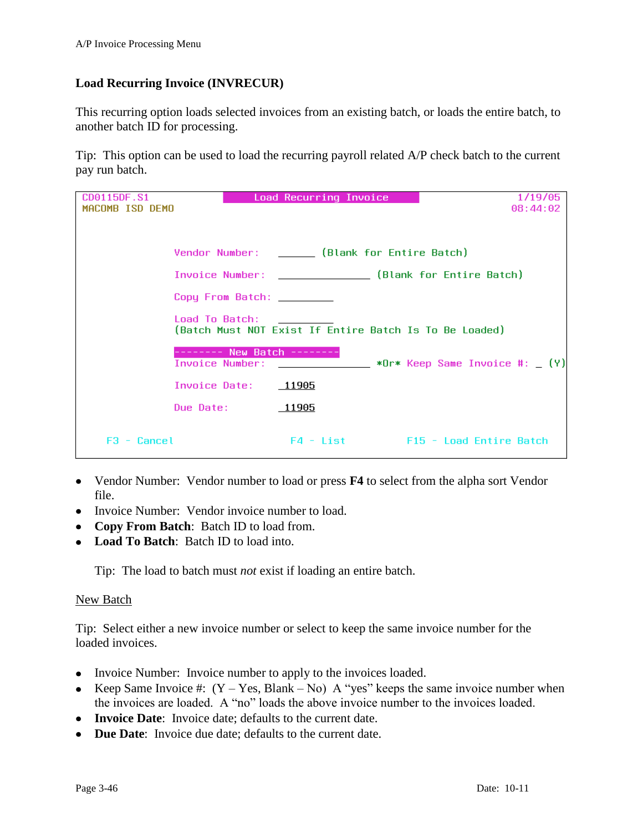## <span id="page-45-0"></span>**Load Recurring Invoice (INVRECUR)**

This recurring option loads selected invoices from an existing batch, or loads the entire batch, to another batch ID for processing.

Tip: This option can be used to load the recurring payroll related A/P check batch to the current pay run batch.

| CD0115DF.S1     | Load Recurring Invoice                                                   | 1/19/05                                             |
|-----------------|--------------------------------------------------------------------------|-----------------------------------------------------|
| MACOMB ISD DEMO |                                                                          | 08:44:02                                            |
|                 |                                                                          |                                                     |
|                 | Vendor Number: ______ (Blank for Entire Batch)                           |                                                     |
|                 | Invoice Number: _______________ (Blank for Entire Batch)                 |                                                     |
|                 | Copy From Batch: ________                                                |                                                     |
|                 | Load To Batch:<br>(Batch Must NOT Exist If Entire Batch Is To Be Loaded) |                                                     |
|                 | New Batch -<br>Invoice Number:                                           | <b>Example 2018</b> War* Keep Same Invoice #: _ (Y) |
|                 | Invoice Date:<br>11905_                                                  |                                                     |
|                 | Due Date:<br>11905                                                       |                                                     |
| $F3 - Cancel$   |                                                                          | F4 - List F15 - Load Entire Batch                   |

- Vendor Number: Vendor number to load or press **F4** to select from the alpha sort Vendor file.
- Invoice Number: Vendor invoice number to load.
- **Copy From Batch**: Batch ID to load from.
- **Load To Batch**: Batch ID to load into.

Tip: The load to batch must *not* exist if loading an entire batch.

### New Batch

Tip: Select either a new invoice number or select to keep the same invoice number for the loaded invoices.

- Invoice Number: Invoice number to apply to the invoices loaded.
- Exercise Keep Same Invoice #:  $(Y Yes, Blank No)$  A "yes" keeps the same invoice number when the invoices are loaded. A "no" loads the above invoice number to the invoices loaded.
- **Invoice Date**: Invoice date; defaults to the current date.
- **Due Date**: Invoice due date; defaults to the current date.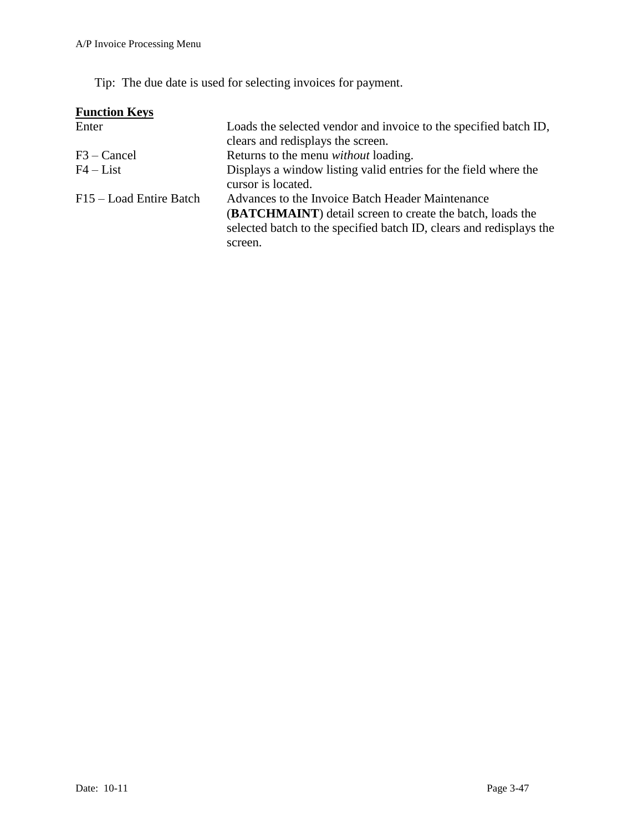Tip: The due date is used for selecting invoices for payment.

| <b>Function Keys</b>    |                                                                                                                                         |
|-------------------------|-----------------------------------------------------------------------------------------------------------------------------------------|
| Enter                   | Loads the selected vendor and invoice to the specified batch ID,                                                                        |
|                         | clears and redisplays the screen.                                                                                                       |
| $F3 - C$ ancel          | Returns to the menu <i>without</i> loading.                                                                                             |
| $F4 - List$             | Displays a window listing valid entries for the field where the<br>cursor is located.                                                   |
| F15 – Load Entire Batch | Advances to the Invoice Batch Header Maintenance                                                                                        |
|                         | <b>(BATCHMAINT)</b> detail screen to create the batch, loads the<br>selected batch to the specified batch ID, clears and redisplays the |
|                         | screen.                                                                                                                                 |
|                         |                                                                                                                                         |